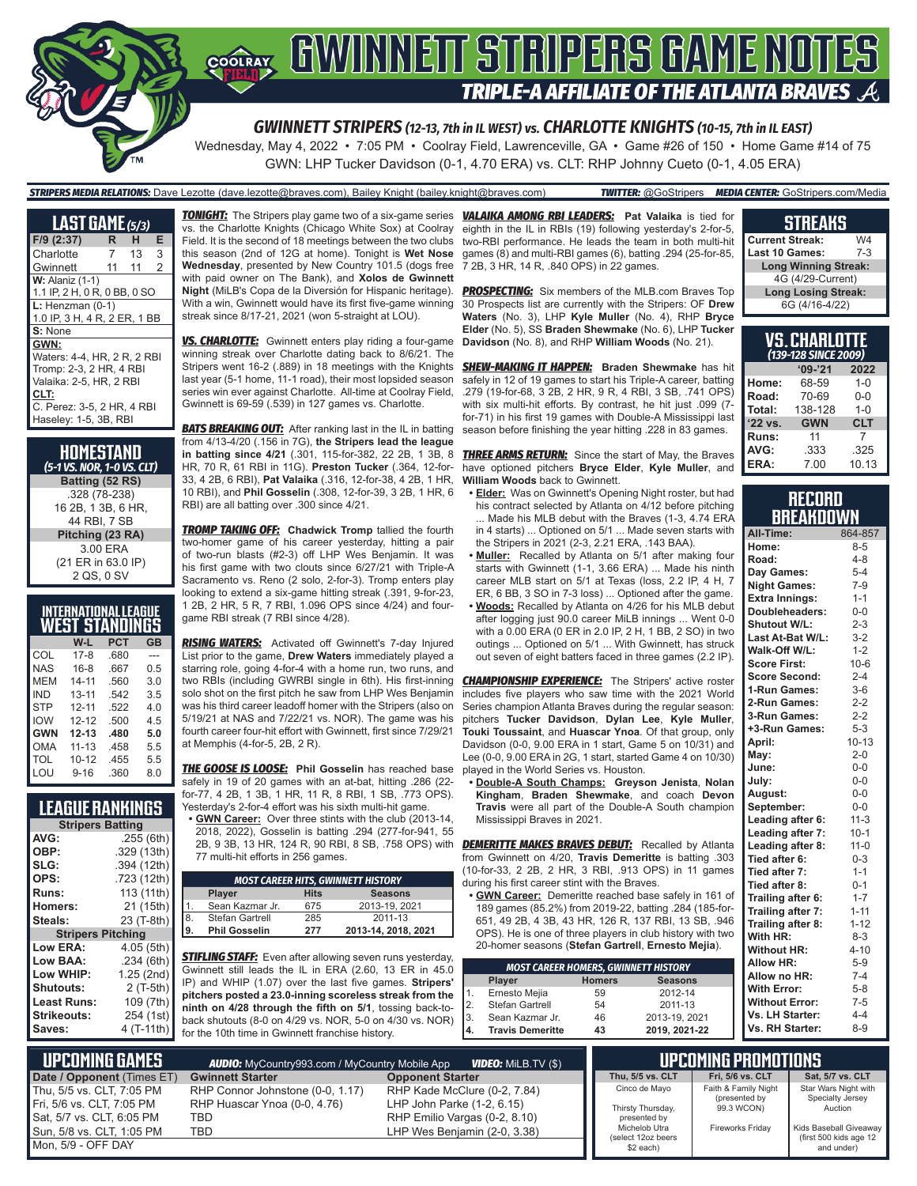

Wednesday, May 4, 2022 • 7:05 PM • Coolray Field, Lawrenceville, GA • Game #26 of 150 • Home Game #14 of 75 GWN: LHP Tucker Davidson (0-1, 4.70 ERA) vs. CLT: RHP Johnny Cueto (0-1, 4.05 ERA)

*STRIPERS MEDIA RELATIONS:* Dave Lezotte (dave.lezotte@braves.com), Bailey Knight (bailey.knight@braves.com) *TWITTER:* @GoStripers *MEDIA CENTER:* GoStripers.com/Media

| <b>LAST GAME</b> (5/3)                                                                                                                                   |    |    |   |
|----------------------------------------------------------------------------------------------------------------------------------------------------------|----|----|---|
| $F/9$ (2:37)                                                                                                                                             | R. | н  | Е |
| Charlotte                                                                                                                                                | 7  | 13 | 3 |
| Gwinnett                                                                                                                                                 | 11 | 11 | 2 |
| $W:$ Alaniz $(1-1)$<br>1.1 IP, 2 H, 0 R, 0 BB, 0 SO                                                                                                      |    |    |   |
| $L:$ Henzman $(0-1)$<br>1.0 IP, 3 H, 4 R, 2 ER, 1 BB                                                                                                     |    |    |   |
| S: None                                                                                                                                                  |    |    |   |
| GWN:<br>Waters: 4-4, HR, 2 R, 2 RBI<br>Tromp: 2-3, 2 HR, 4 RBI<br>Valaika: 2-5, HR, 2 RBI<br>CLT:<br>C. Perez: 3-5, 2 HR, 4 RBI<br>Haseley: 1-5, 3B, RBI |    |    |   |
|                                                                                                                                                          |    |    |   |

**HOMESTAND** *(5-1 VS. NOR, 1-0 VS. CLT)* **Batting (52 RS)** .328 (78-238) 16 2B, 1 3B, 6 HR, 44 RBI, 7 SB **Pitching (23 RA)** 3.00 ERA (21 ER in 63.0 IP) 2 QS, 0 SV

### **INTERNATIONAL LEAGUE WEST STANDINGS**

|            | W-L       | PCT  | GB  |
|------------|-----------|------|-----|
| COL        | $17 - 8$  | .680 | --- |
| <b>NAS</b> | $16 - 8$  | .667 | 0.5 |
| MEM        | $14 - 11$ | .560 | 3.0 |
| <b>IND</b> | $13 - 11$ | .542 | 3.5 |
| <b>STP</b> | $12 - 11$ | .522 | 4.0 |
| <b>IOW</b> | $12 - 12$ | .500 | 4.5 |
| <b>GWN</b> | $12 - 13$ | .480 | 5.0 |
| <b>OMA</b> | $11 - 13$ | .458 | 5.5 |
| TOL        | $10 - 12$ | .455 | 5.5 |
| LOU        | $9 - 16$  | .360 | 8.0 |

### **LEAGUE RANKINGS**

| <b>Stripers Batting</b>  |             |  |
|--------------------------|-------------|--|
| AVG:                     | .255(6th)   |  |
| OBP:                     | .329 (13th) |  |
| SLG:                     | .394 (12th) |  |
| OPS:                     | .723 (12th) |  |
| <b>Runs:</b>             | 113 (11th)  |  |
| <b>Homers:</b>           | 21 (15th)   |  |
| Steals:                  | 23 (T-8th)  |  |
| <b>Stripers Pitching</b> |             |  |
| Low ERA:                 | 4.05 (5th)  |  |
| Low BAA:                 | .234(6th)   |  |
| Low WHIP:                | 1.25 (2nd)  |  |
| Shutouts:                | 2 (T-5th)   |  |
| Least Runs:              | 109 (7th)   |  |
| Strikeouts:              | 254 (1st)   |  |
| Saves:                   | 4 (T-11th)  |  |

vs. the Charlotte Knights (Chicago White Sox) at Coolray Field. It is the second of 18 meetings between the two clubs this season (2nd of 12G at home). Tonight is **Wet Nose Wednesday**, presented by New Country 101.5 (dogs free with paid owner on The Bank), and **Xolos de Gwinnett Night** (MiLB's Copa de la Diversión for Hispanic heritage). With a win, Gwinnett would have its first five-game winning streak since 8/17-21, 2021 (won 5-straight at LOU).

*VS. CHARLOTTE:* Gwinnett enters play riding a four-game winning streak over Charlotte dating back to 8/6/21. The Stripers went 16-2 (.889) in 18 meetings with the Knights last year (5-1 home, 11-1 road), their most lopsided season series win ever against Charlotte. All-time at Coolray Field, Gwinnett is 69-59 (.539) in 127 games vs. Charlotte.

**BATS BREAKING OUT:** After ranking last in the IL in batting from 4/13-4/20 (.156 in 7G), **the Stripers lead the league in batting since 4/21** (.301, 115-for-382, 22 2B, 1 3B, 8 HR, 70 R, 61 RBI in 11G). **Preston Tucker** (.364, 12-for-33, 4 2B, 6 RBI), **Pat Valaika** (.316, 12-for-38, 4 2B, 1 HR, 10 RBI), and **Phil Gosselin** (.308, 12-for-39, 3 2B, 1 HR, 6 RBI) are all batting over .300 since 4/21.

*TROMP TAKING OFF:* **Chadwick Tromp** tallied the fourth two-homer game of his career yesterday, hitting a pair of two-run blasts (#2-3) off LHP Wes Benjamin. It was his first game with two clouts since 6/27/21 with Triple-A Sacramento vs. Reno (2 solo, 2-for-3). Tromp enters play looking to extend a six-game hitting streak (.391, 9-for-23, 1 2B, 2 HR, 5 R, 7 RBI, 1.096 OPS since 4/24) and fourgame RBI streak (7 RBI since 4/28).

*RISING WATERS:* Activated off Gwinnett's 7-day Injured List prior to the game, **Drew Waters** immediately played a starring role, going 4-for-4 with a home run, two runs, and two RBIs (including GWRBI single in 6th). His first-inning solo shot on the first pitch he saw from LHP Wes Benjamin was his third career leadoff homer with the Stripers (also on 5/19/21 at NAS and 7/22/21 vs. NOR). The game was his fourth career four-hit effort with Gwinnett, first since 7/29/21 at Memphis (4-for-5, 2B, 2 R).

*THE GOOSE IS LOOSE:* **Phil Gosselin** has reached base safely in 19 of 20 games with an at-bat, hitting .286 (22 for-77, 4 2B, 1 3B, 1 HR, 11 R, 8 RBI, 1 SB, .773 OPS). Yesterday's 2-for-4 effort was his sixth multi-hit game.

**• GWN Career:** Over three stints with the club (2013-14, 2018, 2022), Gosselin is batting .294 (277-for-941, 55 77 multi-hit efforts in 256 games.

|    |                      |             | <b>MOST CAREER HITS, GWINNETT HISTORY</b> |
|----|----------------------|-------------|-------------------------------------------|
|    | <b>Player</b>        | <b>Hits</b> | <b>Seasons</b>                            |
| 1  | Sean Kazmar Jr.      | 675         | 2013-19, 2021                             |
| 8. | Stefan Gartrell      | 285         | 2011-13                                   |
| 9. | <b>Phil Gosselin</b> | 277         | 2013-14, 2018, 2021                       |

*STIFLING STAFF:* Even after allowing seven runs yesterday, Gwinnett still leads the IL in ERA (2.60, 13 ER in 45.0 IP) and WHIP (1.07) over the last five games. **Stripers' pitchers posted a 23.0-inning scoreless streak from the ninth on 4/28 through the fifth on 5/1**, tossing back-toback shutouts (8-0 on 4/29 vs. NOR, 5-0 on 4/30 vs. NOR) for the 10th time in Gwinnett franchise history.

*TONIGHT:* The Stripers play game two of a six-game series *VALAIKA AMONG RBI LEADERS:* **Pat Valaika** is tied for eighth in the IL in RBIs (19) following yesterday's 2-for-5, two-RBI performance. He leads the team in both multi-hit games (8) and multi-RBI games (6), batting .294 (25-for-85, 7 2B, 3 HR, 14 R, .840 OPS) in 22 games.

> **PROSPECTING:** Six members of the MLB.com Braves Top 30 Prospects list are currently with the Stripers: OF **Drew Waters** (No. 3), LHP **Kyle Muller** (No. 4), RHP **Bryce Elder** (No. 5), SS **Braden Shewmake** (No. 6), LHP **Tucker Davidson** (No. 8), and RHP **William Woods** (No. 21).

> *SHEW-MAKING IT HAPPEN:* **Braden Shewmake** has hit safely in 12 of 19 games to start his Triple-A career, batting .279 (19-for-68, 3 2B, 2 HR, 9 R, 4 RBI, 3 SB, .741 OPS) with six multi-hit efforts. By contrast, he hit just .099 (7 for-71) in his first 19 games with Double-A Mississippi last season before finishing the year hitting .228 in 83 games.

> **THREE ARMS RETURN:** Since the start of May, the Braves have optioned pitchers **Bryce Elder**, **Kyle Muller**, and **William Woods** back to Gwinnett.

- **• Elder:** Was on Gwinnett's Opening Night roster, but had his contract selected by Atlanta on 4/12 before pitching ... Made his MLB debut with the Braves (1-3, 4.74 ERA in 4 starts) ... Optioned on 5/1 ... Made seven starts with the Stripers in 2021 (2-3, 2.21 ERA, .143 BAA).
- **• Muller:** Recalled by Atlanta on 5/1 after making four starts with Gwinnett (1-1, 3.66 ERA) ... Made his ninth career MLB start on 5/1 at Texas (loss, 2.2 IP, 4 H, 7 ER, 6 BB, 3 SO in 7-3 loss) ... Optioned after the game.
- **• Woods:** Recalled by Atlanta on 4/26 for his MLB debut after logging just 90.0 career MiLB innings ... Went 0-0 with a 0.00 ERA (0 ER in 2.0 IP, 2 H, 1 BB, 2 SO) in two outings ... Optioned on 5/1 ... With Gwinnett, has struck out seven of eight batters faced in three games (2.2 IP).

**CHAMPIONSHIP EXPERIENCE:** The Stripers' active roster includes five players who saw time with the 2021 World Series champion Atlanta Braves during the regular season: pitchers **Tucker Davidson**, **Dylan Lee**, **Kyle Muller**, **Touki Toussaint**, and **Huascar Ynoa**. Of that group, only Davidson (0-0, 9.00 ERA in 1 start, Game 5 on 10/31) and Lee (0-0, 9.00 ERA in 2G, 1 start, started Game 4 on 10/30) played in the World Series vs. Houston.

**• Double-A South Champs: Greyson Jenista**, **Nolan Kingham**, **Braden Shewmake**, and coach **Devon Travis** were all part of the Double-A South champion Mississippi Braves in 2021.

2B, 9 3B, 13 HR, 124 R, 90 RBI, 8 SB, .758 OPS) with *DEMERITTE MAKES BRAVES DEBUT:* Recalled by Atlanta from Gwinnett on 4/20, **Travis Demeritte** is batting .303 (10-for-33, 2 2B, 2 HR, 3 RBI, .913 OPS) in 11 games during his first career stint with the Braves.

> **• GWN Career:** Demeritte reached base safely in 161 of 189 games (85.2%) from 2019-22, batting .284 (185-for-651, 49 2B, 4 3B, 43 HR, 126 R, 137 RBI, 13 SB, .946 OPS). He is one of three players in club history with two 20-homer seasons (**Stefan Gartrell**, **Ernesto Mejia**).

| <b>MOST CAREER HOMERS, GWINNETT HISTORY</b> |               |                |
|---------------------------------------------|---------------|----------------|
| Player                                      | <b>Homers</b> | <b>Seasons</b> |
| Ernesto Mejia                               | 59            | 2012-14        |
| Stefan Gartrell                             | 54            | 2011-13        |
| Sean Kazmar Jr.                             | 46            | 2013-19, 2021  |
| <b>Travis Demeritte</b>                     | 43            | 2019, 2021-22  |
|                                             |               |                |

| <b>STREAKS</b> |  |  |
|----------------|--|--|
|                |  |  |
|                |  |  |

| <b>Current Streak:</b>      | W4    |
|-----------------------------|-------|
| <b>Last 10 Games:</b>       | $7-3$ |
| <b>Long Winning Streak:</b> |       |
| 4G (4/29-Current)           |       |
| <b>Long Losing Streak:</b>  |       |
| 6G (4/16-4/22)              |       |

**VS. CHARLOTTE** 

|         | VJ. GNANLU I I L<br>(139-128 SINCE 2009) |            |
|---------|------------------------------------------|------------|
|         | $'09-'21$                                | 2022       |
| Home:   | 68-59                                    | $1 - 0$    |
| Road:   | 70-69                                    | $0 - 0$    |
| Total:  | 138-128                                  | $1 - 0$    |
| '22 vs. | <b>GWN</b>                               | <b>CLT</b> |
| Runs:   | 11                                       | 7          |
| AVG:    | .333                                     | .325       |
| ERA:    | 7.00                                     | 10.13      |

### **RECORD BREAKDOWN**

| All-Time:             | 864-857   |
|-----------------------|-----------|
| Home:                 | $8 - 5$   |
| Road:                 | $4 - 8$   |
| Day Games:            | $5 - 4$   |
| <b>Night Games:</b>   | $7 - 9$   |
| <b>Extra Innings:</b> | $1 - 1$   |
| Doubleheaders:        | $0-0$     |
| Shutout W/L:          | $2 - 3$   |
| Last At-Bat W/L:      | $3 - 2$   |
| Walk-Off W/L:         | $1 - 2$   |
| <b>Score First:</b>   | $10-6$    |
| <b>Score Second:</b>  | $2 - 4$   |
| 1-Run Games:          | $3-6$     |
| 2-Run Games:          | $2 - 2$   |
| 3-Run Games:          | $2 - 2$   |
| +3-Run Games:         | $5 - 3$   |
| April:                | $10 - 13$ |
| May:                  | $2 - 0$   |
| June:                 | $0-0$     |
| July:                 | $0-0$     |
| August:               | $0-0$     |
| September:            | $0-0$     |
| Leading after 6:      | $11-3$    |
| Leading after 7:      | $10-1$    |
| Leading after 8:      | $11 - 0$  |
| Tied after 6:         | $0 - 3$   |
| Tied after 7:         | $1 - 1$   |
| Tied after 8:         | $0 - 1$   |
| Trailing after 6:     | $1 - 7$   |
| Trailing after 7:     | $1 - 11$  |
| Trailing after 8:     | $1 - 12$  |
| With HR:              | $8 - 3$   |
| <b>Without HR:</b>    | $4 - 10$  |
| <b>Allow HR:</b>      | $5 - 9$   |
| Allow no HR:          | $7 - 4$   |
| <b>With Error:</b>    | $5 - 8$   |
| <b>Without Error:</b> | $7 - 5$   |
| Vs. LH Starter:       | $4 - 4$   |
| Vs. RH Starter:       | $8 - 9$   |

| $\parallel$ upcoming games<br><b>AUDIO:</b> MyCountry993.com / MyCountry Mobile App<br><b>VIDEO:</b> MILB.TV (\$) |                                  |                               | <b>UPCOMING PROMOTIONS .</b>        |                             |                                                  |
|-------------------------------------------------------------------------------------------------------------------|----------------------------------|-------------------------------|-------------------------------------|-----------------------------|--------------------------------------------------|
| Date / Opponent (Times ET)                                                                                        | <b>Gwinnett Starter</b>          | <b>Opponent Starter</b>       | Thu. 5/5 vs. CLT                    | <b>Fri. 5/6 vs. CLT</b>     | Sat. 5/7 vs. CLT                                 |
| Thu. 5/5 vs. CLT. 7:05 PM                                                                                         | RHP Connor Johnstone (0-0, 1.17) | RHP Kade McClure (0-2, 7.84)  | Cinco de Mayo                       | Faith & Family Night        | Star Wars Night with                             |
| Fri. 5/6 vs. CLT. 7:05 PM                                                                                         | RHP Huascar Ynoa (0-0, 4.76)     | LHP John Parke (1-2, 6.15)    | Thirsty Thursday,                   | (presented by<br>99.3 WCON) | Specialty Jersey<br>Auction                      |
| Sat, 5/7 vs. CLT, 6:05 PM                                                                                         | TBD                              | RHP Emilio Vargas (0-2, 8.10) | presented by                        |                             |                                                  |
| Sun, 5/8 vs. CLT, 1:05 PM                                                                                         | <b>TBD</b>                       | LHP Wes Benjamin (2-0, 3.38)  | Michelob Utra<br>(select 12oz beers | Fireworks Friday            | Kids Baseball Giveaway<br>(first 500 kids age 12 |
| Mon, 5/9 - OFF DAY                                                                                                |                                  |                               | $$2$ each)                          |                             | and under)                                       |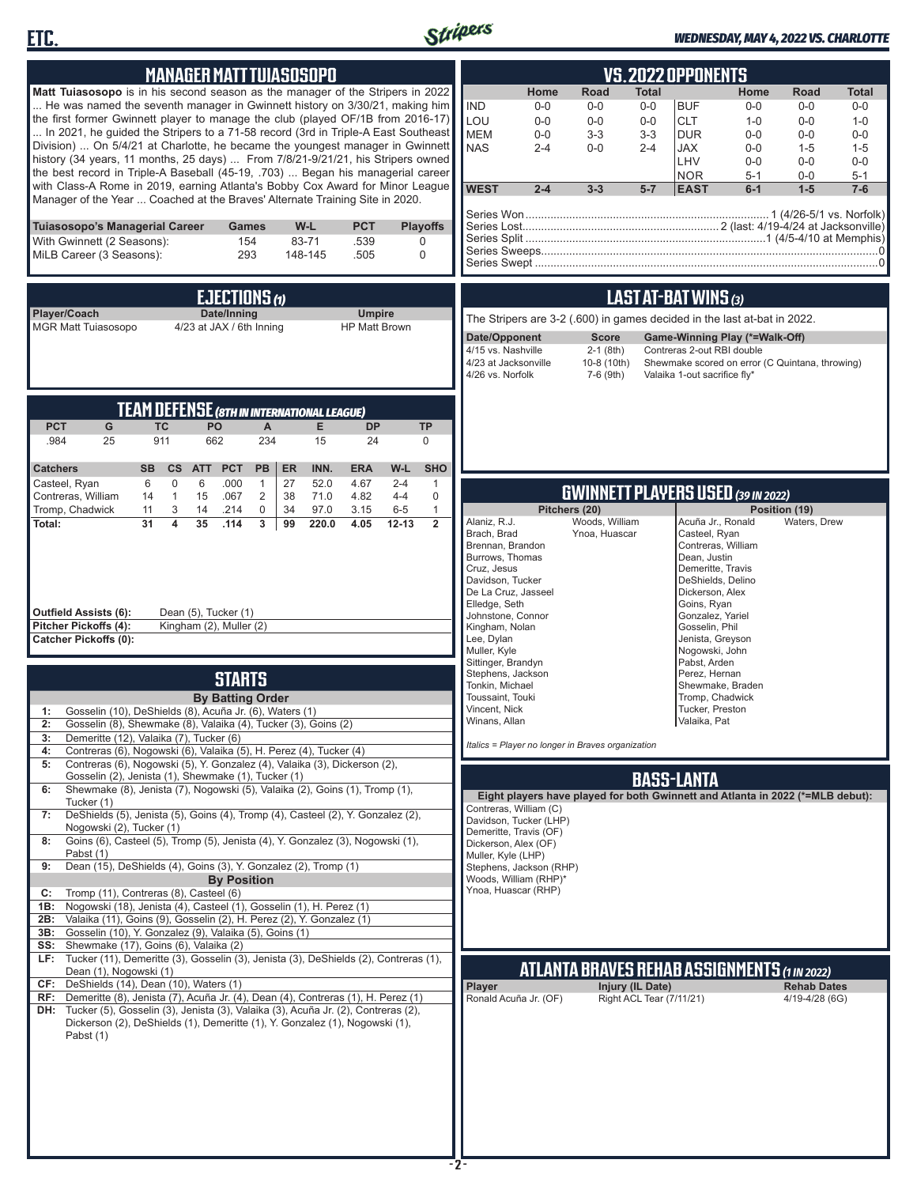



### *WEDNESDAY, MAY 4, 2022 VS. CHARLOTTE*

| <b>MANAGER MATT TUIASOSOPO</b>                                                                                                                                                                                                                                                                                                                                                                                                                                                                                                                                                                                                                                                                                                                                                                                                                                                                                                                                                                                                                                                                                                                                                                                                                                                                                                                                                                                                                                                                                                                                                                                                                                                                                                                                                                                                                                                                                                                                                                                                                                                                                                                                                                                                                                                      | <b>VS.2022 OPPONENTS</b>                                                                                                                                                                                                                                                                                                                                                                                                                                                                                                                                                                                                                                                                                                                                                                                                                                                                                                                                                                                                                                                                                                                                                                                                                                                                                                                                                     |
|-------------------------------------------------------------------------------------------------------------------------------------------------------------------------------------------------------------------------------------------------------------------------------------------------------------------------------------------------------------------------------------------------------------------------------------------------------------------------------------------------------------------------------------------------------------------------------------------------------------------------------------------------------------------------------------------------------------------------------------------------------------------------------------------------------------------------------------------------------------------------------------------------------------------------------------------------------------------------------------------------------------------------------------------------------------------------------------------------------------------------------------------------------------------------------------------------------------------------------------------------------------------------------------------------------------------------------------------------------------------------------------------------------------------------------------------------------------------------------------------------------------------------------------------------------------------------------------------------------------------------------------------------------------------------------------------------------------------------------------------------------------------------------------------------------------------------------------------------------------------------------------------------------------------------------------------------------------------------------------------------------------------------------------------------------------------------------------------------------------------------------------------------------------------------------------------------------------------------------------------------------------------------------------|------------------------------------------------------------------------------------------------------------------------------------------------------------------------------------------------------------------------------------------------------------------------------------------------------------------------------------------------------------------------------------------------------------------------------------------------------------------------------------------------------------------------------------------------------------------------------------------------------------------------------------------------------------------------------------------------------------------------------------------------------------------------------------------------------------------------------------------------------------------------------------------------------------------------------------------------------------------------------------------------------------------------------------------------------------------------------------------------------------------------------------------------------------------------------------------------------------------------------------------------------------------------------------------------------------------------------------------------------------------------------|
| Matt Tuiasosopo is in his second season as the manager of the Stripers in 2022<br>He was named the seventh manager in Gwinnett history on 3/30/21, making him<br>the first former Gwinnett player to manage the club (played OF/1B from 2016-17)<br>In 2021, he guided the Stripers to a 71-58 record (3rd in Triple-A East Southeast<br>Division)  On 5/4/21 at Charlotte, he became the youngest manager in Gwinnett<br>history (34 years, 11 months, 25 days)  From 7/8/21-9/21/21, his Stripers owned<br>the best record in Triple-A Baseball (45-19, .703)  Began his managerial career<br>with Class-A Rome in 2019, earning Atlanta's Bobby Cox Award for Minor League<br>Manager of the Year  Coached at the Braves' Alternate Training Site in 2020.                                                                                                                                                                                                                                                                                                                                                                                                                                                                                                                                                                                                                                                                                                                                                                                                                                                                                                                                                                                                                                                                                                                                                                                                                                                                                                                                                                                                                                                                                                                       | Home<br>Road<br>Total<br>Home<br><b>Total</b><br>Road<br><b>IND</b><br>$0-0$<br><b>BUF</b><br>$0-0$<br>$0-0$<br>$0-0$<br>$0-0$<br>$0-0$<br>LOU<br><b>CLT</b><br>$0-0$<br>$0-0$<br>$1 - 0$<br>$0-0$<br>$1 - 0$<br>$0-0$<br><b>MEM</b><br>$0 - 0$<br>$3-3$<br>$3-3$<br><b>DUR</b><br>$0 - 0$<br>$0-0$<br>$0 - 0$<br><b>NAS</b><br>$0 - 0$<br>$2 - 4$<br><b>JAX</b><br>$1 - 5$<br>$2 - 4$<br>$0-0$<br>$1 - 5$<br>LHV<br>$0 - 0$<br>$0-0$<br>$0 - 0$<br><b>NOR</b><br>$5 - 1$<br>$0-0$<br>$5 - 1$<br><b>WEST</b><br>$1 - 5$<br>$2 - 4$<br>$3 - 3$<br>$5 - 7$<br><b>EAST</b><br>$6-1$<br>$7-6$                                                                                                                                                                                                                                                                                                                                                                                                                                                                                                                                                                                                                                                                                                                                                                                    |
| <b>PCT</b><br>Tuiasosopo's Managerial Career<br>W-L<br><b>Playoffs</b><br><b>Games</b><br>With Gwinnett (2 Seasons):<br>154<br>83-71<br>.539<br>0<br>MiLB Career (3 Seasons):<br>148-145<br>293<br>.505<br>$\mathbf 0$                                                                                                                                                                                                                                                                                                                                                                                                                                                                                                                                                                                                                                                                                                                                                                                                                                                                                                                                                                                                                                                                                                                                                                                                                                                                                                                                                                                                                                                                                                                                                                                                                                                                                                                                                                                                                                                                                                                                                                                                                                                              |                                                                                                                                                                                                                                                                                                                                                                                                                                                                                                                                                                                                                                                                                                                                                                                                                                                                                                                                                                                                                                                                                                                                                                                                                                                                                                                                                                              |
| EJECTIONS (1)<br>Player/Coach<br>Date/Inning<br><b>Umpire</b><br><b>MGR Matt Tuiasosopo</b><br>4/23 at JAX / 6th Inning<br><b>HP Matt Brown</b>                                                                                                                                                                                                                                                                                                                                                                                                                                                                                                                                                                                                                                                                                                                                                                                                                                                                                                                                                                                                                                                                                                                                                                                                                                                                                                                                                                                                                                                                                                                                                                                                                                                                                                                                                                                                                                                                                                                                                                                                                                                                                                                                     | LAST AT-BAT WINS (3)<br>The Stripers are 3-2 (.600) in games decided in the last at-bat in 2022.<br>Date/Opponent<br><b>Score</b><br>Game-Winning Play (*=Walk-Off)<br>4/15 vs. Nashville<br>$2-1$ (8th)<br>Contreras 2-out RBI double<br>4/23 at Jacksonville<br>10-8 (10th)<br>Shewmake scored on error (C Quintana, throwing)<br>4/26 vs. Norfolk<br>7-6 (9th)<br>Valaika 1-out sacrifice fly*                                                                                                                                                                                                                                                                                                                                                                                                                                                                                                                                                                                                                                                                                                                                                                                                                                                                                                                                                                            |
| <b>TEAM DEFENSE (8TH IN INTERNATIONAL LEAGUE)</b><br><b>PCT</b><br>G<br><b>TC</b><br>PO<br><b>DP</b><br><b>TP</b><br>A<br>E.<br>234<br>15<br>.984<br>25<br>911<br>662<br>24<br>0<br>INN.<br>W-L<br><b>SHO</b><br><b>Catchers</b><br><b>SB</b><br>cs<br><b>ATT</b><br><b>PCT</b><br>PB<br>ER<br><b>ERA</b>                                                                                                                                                                                                                                                                                                                                                                                                                                                                                                                                                                                                                                                                                                                                                                                                                                                                                                                                                                                                                                                                                                                                                                                                                                                                                                                                                                                                                                                                                                                                                                                                                                                                                                                                                                                                                                                                                                                                                                           |                                                                                                                                                                                                                                                                                                                                                                                                                                                                                                                                                                                                                                                                                                                                                                                                                                                                                                                                                                                                                                                                                                                                                                                                                                                                                                                                                                              |
| 6<br>$\mathbf 0$<br>6<br>.000<br>27<br>52.0<br>4.67<br>Casteel, Ryan<br>$\mathbf{1}$<br>$2 - 4$<br>$\mathbf{1}$<br>Contreras, William<br>$\mathbf{1}$<br>15<br>.067<br>$\overline{2}$<br>38<br>71.0<br>4.82<br>$4 - 4$<br>$\mathbf 0$<br>14<br>Tromp, Chadwick<br>3<br>.214<br>$\mathbf 0$<br>34<br>97.0<br>3.15<br>$6 - 5$<br>11<br>14<br>$\mathbf{1}$<br>35<br>$\overline{2}$<br>Total:<br>31<br>$\overline{\mathbf{4}}$<br>.114<br>3<br>220.0<br>$12 - 13$<br>99<br>4.05<br>Outfield Assists (6):<br>Dean (5), Tucker (1)<br>Pitcher Pickoffs (4):<br>Kingham (2), Muller (2)<br><b>Catcher Pickoffs (0):</b><br><b>STARTS</b><br><b>By Batting Order</b><br>Gosselin (10), DeShields (8), Acuña Jr. (6), Waters (1)<br>1:<br>Gosselin (8), Shewmake (8), Valaika (4), Tucker (3), Goins (2)<br>2:<br>Demeritte (12), Valaika (7), Tucker (6)<br>3:<br>Contreras (6), Nogowski (6), Valaika (5), H. Perez (4), Tucker (4)<br>4:<br>Contreras (6), Nogowski (5), Y. Gonzalez (4), Valaika (3), Dickerson (2),<br>5:<br>Gosselin (2), Jenista (1), Shewmake (1), Tucker (1)<br>Shewmake (8), Jenista (7), Nogowski (5), Valaika (2), Goins (1), Tromp (1),<br>6:<br>Tucker (1)<br>DeShields (5), Jenista (5), Goins (4), Tromp (4), Casteel (2), Y. Gonzalez (2),<br>7:<br>Nogowski (2), Tucker (1)<br>Goins (6), Casteel (5), Tromp (5), Jenista (4), Y. Gonzalez (3), Nogowski (1),<br>8:<br>Pabst (1)<br>Dean (15), DeShields (4), Goins (3), Y. Gonzalez (2), Tromp (1)<br>9:<br><b>By Position</b><br>Tromp (11), Contreras (8), Casteel (6)<br>C:<br>Nogowski (18), Jenista (4), Casteel (1), Gosselin (1), H. Perez (1)<br>1B:<br>Valaika (11), Goins (9), Gosselin (2), H. Perez (2), Y. Gonzalez (1)<br>2B:<br>Gosselin (10), Y. Gonzalez (9), Valaika (5), Goins (1)<br>3B:<br>SS: Shewmake (17), Goins (6), Valaika (2)<br>LF: Tucker (11), Demeritte (3), Gosselin (3), Jenista (3), DeShields (2), Contreras (1),<br>Dean (1), Nogowski (1)<br>CF: DeShields (14), Dean (10), Waters (1)<br>RF: Demeritte (8), Jenista (7), Acuña Jr. (4), Dean (4), Contreras (1), H. Perez (1)<br>DH: Tucker (5), Gosselin (3), Jenista (3), Valaika (3), Acuña Jr. (2), Contreras (2),<br>Dickerson (2), DeShields (1), Demeritte (1), Y. Gonzalez (1), Nogowski (1),<br>Pabst (1) | <b>GWINNETT PLAYERS USED (39 IN 2022)</b><br>Pitchers (20)<br>Position (19)<br>Alaniz, R.J.<br>Woods, William<br>Acuña Jr., Ronald<br>Waters, Drew<br>Brach, Brad<br>Ynoa, Huascar<br>Casteel, Ryan<br>Brennan, Brandon<br>Contreras, William<br>Burrows, Thomas<br>Dean, Justin<br>Cruz, Jesus<br>Demeritte, Travis<br>Davidson, Tucker<br>DeShields, Delino<br>De La Cruz, Jasseel<br>Dickerson, Alex<br>Elledge, Seth<br>Goins, Ryan<br>Johnstone, Connor<br>Gonzalez, Yariel<br>Kingham, Nolan<br>Gosselin, Phil<br>Lee, Dylan<br>Jenista, Greyson<br>Muller, Kyle<br>Nogowski, John<br>Sittinger, Brandyn<br>Pabst, Arden<br>Stephens, Jackson<br>Perez, Hernan<br>Tonkin, Michael<br>Shewmake, Braden<br>Toussaint, Touki<br>Tromp, Chadwick<br>Vincent, Nick<br>Tucker, Preston<br>Winans, Allan<br>Valaika, Pat<br>Italics = Player no longer in Braves organization<br><b>BASS-LANTA</b><br>Eight players have played for both Gwinnett and Atlanta in 2022 (*=MLB debut):<br>Contreras, William (C)<br>Davidson, Tucker (LHP)<br>Demeritte, Travis (OF)<br>Dickerson, Alex (OF)<br>Muller, Kyle (LHP)<br>Stephens, Jackson (RHP)<br>Woods, William (RHP)*<br>Ynoa, Huascar (RHP)<br><u>ATLANTA BRAVES REHAB ASSIGNMENTS (1 IN 2022)</u><br>Injury (IL Date)<br><b>Rehab Dates</b><br>Player<br>Right ACL Tear (7/11/21)<br>Ronald Acuña Jr. (OF)<br>4/19-4/28 (6G) |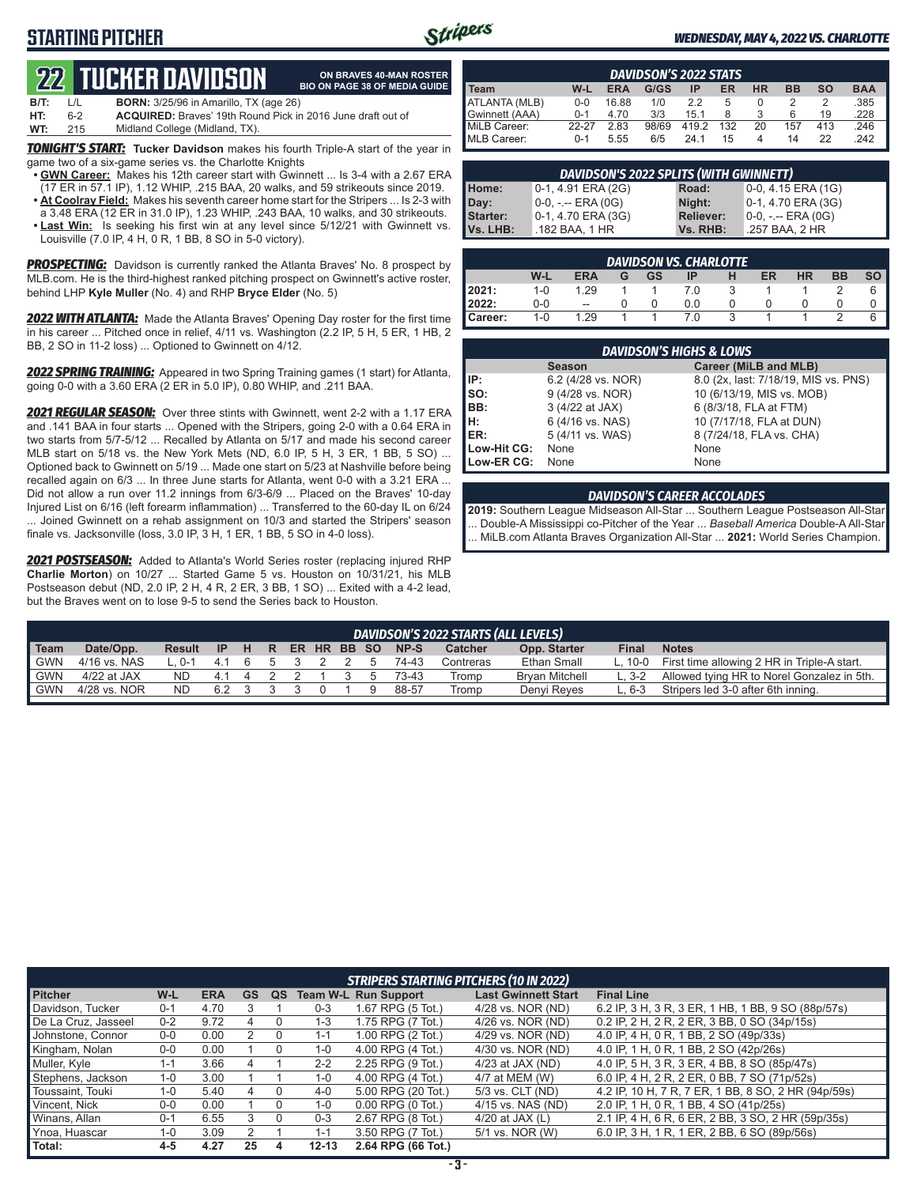# **STARTING PITCHER**



**ON BRAVES 40-MAN ROSTER BIO ON PAGE 38 OF MEDIA GUIDE**

### *WEDNESDAY, MAY 4, 2022 VS. CHARLOTTE*

# **22****TUCKER DAVIDSON**

| B/T: | $\perp$ | <b>BORN:</b> 3/25/96 in Amarillo, TX (age 26)                      |
|------|---------|--------------------------------------------------------------------|
| HT:  | 6-2     | <b>ACQUIRED:</b> Braves' 19th Round Pick in 2016 June draft out of |
| WT:  | 215     | Midland College (Midland, TX).                                     |

*TONIGHT'S START:* **Tucker Davidson** makes his fourth Triple-A start of the year in game two of a six-game series vs. the Charlotte Knights

- **• GWN Career:** Makes his 12th career start with Gwinnett ... Is 3-4 with a 2.67 ERA (17 ER in 57.1 IP), 1.12 WHIP, .215 BAA, 20 walks, and 59 strikeouts since 2019.
- **• At Coolray Field:** Makes his seventh career home start for the Stripers ... Is 2-3 with a 3.48 ERA (12 ER in 31.0 IP), 1.23 WHIP, .243 BAA, 10 walks, and 30 strikeouts. **• Last Win:** Is seeking his first win at any level since 5/12/21 with Gwinnett vs.
- Louisville (7.0 IP, 4 H, 0 R, 1 BB, 8 SO in 5-0 victory).

*PROSPECTING:* Davidson is currently ranked the Atlanta Braves' No. 8 prospect by MLB.com. He is the third-highest ranked pitching prospect on Gwinnett's active roster, behind LHP **Kyle Muller** (No. 4) and RHP **Bryce Elder** (No. 5)

*2022 WITH ATLANTA:* Made the Atlanta Braves' Opening Day roster for the first time in his career ... Pitched once in relief, 4/11 vs. Washington (2.2 IP, 5 H, 5 ER, 1 HB, 2 BB, 2 SO in 11-2 loss) ... Optioned to Gwinnett on 4/12.

*2022 SPRING TRAINING:* Appeared in two Spring Training games (1 start) for Atlanta, going 0-0 with a 3.60 ERA (2 ER in 5.0 IP), 0.80 WHIP, and .211 BAA.

*2021 REGULAR SEASON:* Over three stints with Gwinnett, went 2-2 with a 1.17 ERA and .141 BAA in four starts ... Opened with the Stripers, going 2-0 with a 0.64 ERA in two starts from 5/7-5/12 ... Recalled by Atlanta on 5/17 and made his second career MLB start on 5/18 vs. the New York Mets (ND, 6.0 IP, 5 H, 3 ER, 1 BB, 5 SO) ... Optioned back to Gwinnett on 5/19 ... Made one start on 5/23 at Nashville before being recalled again on 6/3 ... In three June starts for Atlanta, went 0-0 with a 3.21 ERA ... Did not allow a run over 11.2 innings from 6/3-6/9 ... Placed on the Braves' 10-day Injured List on 6/16 (left forearm inflammation) ... Transferred to the 60-day IL on 6/24 ... Joined Gwinnett on a rehab assignment on 10/3 and started the Stripers' season finale vs. Jacksonville (loss, 3.0 IP, 3 H, 1 ER, 1 BB, 5 SO in 4-0 loss).

*2021 POSTSEASON:* Added to Atlanta's World Series roster (replacing injured RHP **Charlie Morton**) on 10/27 ... Started Game 5 vs. Houston on 10/31/21, his MLB Postseason debut (ND, 2.0 IP, 2 H, 4 R, 2 ER, 3 BB, 1 SO) ... Exited with a 4-2 lead, but the Braves went on to lose 9-5 to send the Series back to Houston.

| <b>DAVIDSON'S 2022 STATS</b> |         |            |       |      |     |           |           |           |            |
|------------------------------|---------|------------|-------|------|-----|-----------|-----------|-----------|------------|
| Team                         | W-L     | <b>ERA</b> | G/GS  | ΙP   | ER  | <b>HR</b> | <b>BB</b> | <b>SO</b> | <b>BAA</b> |
| <b>ATLANTA (MLB)</b>         | $0 - 0$ | 16.88      | 1/0   | 2.2  | 5   |           |           |           | .385       |
| Gwinnett (AAA)               | $0 - 1$ | 4.70       | 3/3   | 15.1 |     | ຊ         | 6         | 19        | .228       |
| MiLB Career:                 | 22-27   | 2.83       | 98/69 | 4192 | 132 | 20        | 157       | 413       | .246       |
| MLB Career:                  | $0 - 1$ | 5.55       | 6/5   | 24 1 | 15  | 4         | 14        | 22        | 242        |

| DAVIDSON'S 2022 SPLITS (WITH GWINNETT) |                       |                  |                      |  |  |  |  |  |  |  |
|----------------------------------------|-----------------------|------------------|----------------------|--|--|--|--|--|--|--|
| Home:                                  | 0-1, 4.91 ERA (2G)    | Road:            | $0-0, 4.15$ ERA (1G) |  |  |  |  |  |  |  |
| Day:                                   | $0-0, - -$ ERA $(0G)$ | Night:           | 0-1, 4.70 ERA (3G)   |  |  |  |  |  |  |  |
| Starter:                               | 0-1, 4.70 ERA (3G)    | <b>Reliever:</b> | 0-0, -.-- ERA (0G)   |  |  |  |  |  |  |  |
| I Vs. LHB:                             | .182 BAA, 1 HR        | Vs. RHB:         | .257 BAA, 2 HR       |  |  |  |  |  |  |  |

| DAVIDSON VS. CHARLOTTE |         |                          |   |    |     |   |    |           |           |           |
|------------------------|---------|--------------------------|---|----|-----|---|----|-----------|-----------|-----------|
|                        | W-L     | ERA                      | G | GS | IP  | н | ER | <b>HR</b> | <b>BB</b> | <b>SO</b> |
| 2021:                  | $1 - 0$ | 1.29                     |   |    | 7.0 |   |    |           |           | 6         |
| 2022:                  | $0 - 0$ | $\overline{\phantom{a}}$ |   |    | 0.0 |   |    |           |           | 0         |
| Career:                | $1 - 0$ | 1.29                     |   |    | 7 N |   |    |           |           | 6         |

| <b>DAVIDSON'S HIGHS &amp; LOWS</b> |                    |                                      |  |  |  |  |  |  |
|------------------------------------|--------------------|--------------------------------------|--|--|--|--|--|--|
|                                    | <b>Season</b>      | Career (MiLB and MLB)                |  |  |  |  |  |  |
| IP:                                | 6.2 (4/28 vs. NOR) | 8.0 (2x, last: 7/18/19, MIS vs. PNS) |  |  |  |  |  |  |
| $\vert$ so:                        | 9 (4/28 vs. NOR)   | 10 (6/13/19, MIS vs. MOB)            |  |  |  |  |  |  |
| BB:                                | 3 (4/22 at JAX)    | 6 (8/3/18, FLA at FTM)               |  |  |  |  |  |  |
| lн:                                | 6 (4/16 vs. NAS)   | 10 (7/17/18, FLA at DUN)             |  |  |  |  |  |  |
| <b>IER:</b>                        | 5 (4/11 vs. WAS)   | 8 (7/24/18, FLA vs. CHA)             |  |  |  |  |  |  |
| Low-Hit CG:                        | None               | None                                 |  |  |  |  |  |  |
| Low-ER CG:                         | None               | None                                 |  |  |  |  |  |  |

#### *DAVIDSON'S CAREER ACCOLADES*

**2019:** Southern League Midseason All-Star ... Southern League Postseason All-Star ... Double-A Mississippi co-Pitcher of the Year ... *Baseball America* Double-A All-Star ... MiLB.com Atlanta Braves Organization All-Star ... **2021:** World Series Champion.

|             | DAVIDSON'S 2022 STARTS (ALL LEVELS) |           |           |     |  |             |  |  |  |       |           |                       |         |                                             |
|-------------|-------------------------------------|-----------|-----------|-----|--|-------------|--|--|--|-------|-----------|-----------------------|---------|---------------------------------------------|
| <b>Team</b> | Date/Opp.                           | Result    | <b>IP</b> | HR. |  | ER HR BB SO |  |  |  | NP-S  | Catcher   | Opp. Starter          | Final   | <b>Notes</b>                                |
| <b>GWN</b>  | 4/16 vs. NAS                        | $10-1416$ |           |     |  |             |  |  |  | 74-43 | Contreras | Ethan Small           | L. 10-0 | First time allowing 2 HR in Triple-A start. |
| <b>GWN</b>  | 4/22 at JAX                         | ND.       | 41        |     |  |             |  |  |  | 73-43 | Tromp     | <b>Brvan Mitchell</b> | $L.3-2$ | Allowed tying HR to Norel Gonzalez in 5th.  |
| GWN         | 4/28 vs. NOR                        | <b>ND</b> | 62        |     |  |             |  |  |  | 88-57 | Tromp     | Denvi Reves           | L. 6-3  | Stripers led 3-0 after 6th inning.          |
|             |                                     |           |           |     |  |             |  |  |  |       |           |                       |         |                                             |

|                     | <b>STRIPERS STARTING PITCHERS (10 IN 2022)</b> |            |           |    |           |                             |                            |                                                     |  |  |
|---------------------|------------------------------------------------|------------|-----------|----|-----------|-----------------------------|----------------------------|-----------------------------------------------------|--|--|
| <b>Pitcher</b>      | W-L                                            | <b>ERA</b> | <b>GS</b> | QS |           | <b>Team W-L Run Support</b> | <b>Last Gwinnett Start</b> | <b>Final Line</b>                                   |  |  |
| Davidson, Tucker    | $0 - 1$                                        | 4.70       |           |    | $0 - 3$   | 1.67 RPG (5 Tot.)           | 4/28 vs. NOR (ND)          | 6.2 IP, 3 H, 3 R, 3 ER, 1 HB, 1 BB, 9 SO (88p/57s)  |  |  |
| De La Cruz, Jasseel | $0 - 2$                                        | 9.72       |           |    | $1 - 3$   | 1.75 RPG (7 Tot.)           | 4/26 vs. NOR (ND)          | 0.2 IP, 2 H, 2 R, 2 ER, 3 BB, 0 SO (34p/15s)        |  |  |
| Johnstone, Connor   | $0-0$                                          | 0.00       |           | O  | $1 - 1$   | 1.00 RPG (2 Tot.)           | 4/29 vs. NOR (ND)          | 4.0 IP, 4 H, 0 R, 1 BB, 2 SO (49p/33s)              |  |  |
| Kingham, Nolan      | $0-0$                                          | 0.00       |           |    | $1 - 0$   | 4.00 RPG (4 Tot.)           | 4/30 vs. NOR (ND)          | 4.0 IP, 1 H, 0 R, 1 BB, 2 SO (42p/26s)              |  |  |
| Muller, Kyle        | $1 - 1$                                        | 3.66       |           |    | $2 - 2$   | 2.25 RPG (9 Tot.)           | 4/23 at JAX (ND)           | 4.0 IP, 5 H, 3 R, 3 ER, 4 BB, 8 SO (85p/47s)        |  |  |
| Stephens, Jackson   | $1 - 0$                                        | 3.00       |           |    | $1 - 0$   | 4.00 RPG (4 Tot.)           | 4/7 at MEM (W)             | 6.0 IP, 4 H, 2 R, 2 ER, 0 BB, 7 SO (71p/52s)        |  |  |
| Toussaint, Touki    | $1 - 0$                                        | 5.40       | 4         |    | $4 - 0$   | 5.00 RPG (20 Tot.)          | 5/3 vs. CLT (ND)           | 4.2 IP, 10 H, 7 R, 7 ER, 1 BB, 8 SO, 2 HR (94p/59s) |  |  |
| Vincent, Nick       | $0-0$                                          | 0.00       |           |    | 1-0       | $0.00$ RPG $(0$ Tot.)       | 4/15 vs. NAS (ND)          | 2.0 IP, 1 H, 0 R, 1 BB, 4 SO (41p/25s)              |  |  |
| Winans, Allan       | $0 - 1$                                        | 6.55       | 3         |    | $0 - 3$   | 2.67 RPG (8 Tot.)           | 4/20 at JAX $(L)$          | 2.1 IP, 4 H, 6 R, 6 ER, 2 BB, 3 SO, 2 HR (59p/35s)  |  |  |
| Ynoa, Huascar       | $1 - 0$                                        | 3.09       |           |    | $1 - 1$   | 3.50 RPG (7 Tot.)           | 5/1 vs. NOR (W)            | 6.0 IP, 3 H, 1 R, 1 ER, 2 BB, 6 SO (89p/56s)        |  |  |
| Total:              | $4 - 5$                                        | 4.27       | 25        | 4  | $12 - 13$ | 2.64 RPG (66 Tot.)          |                            |                                                     |  |  |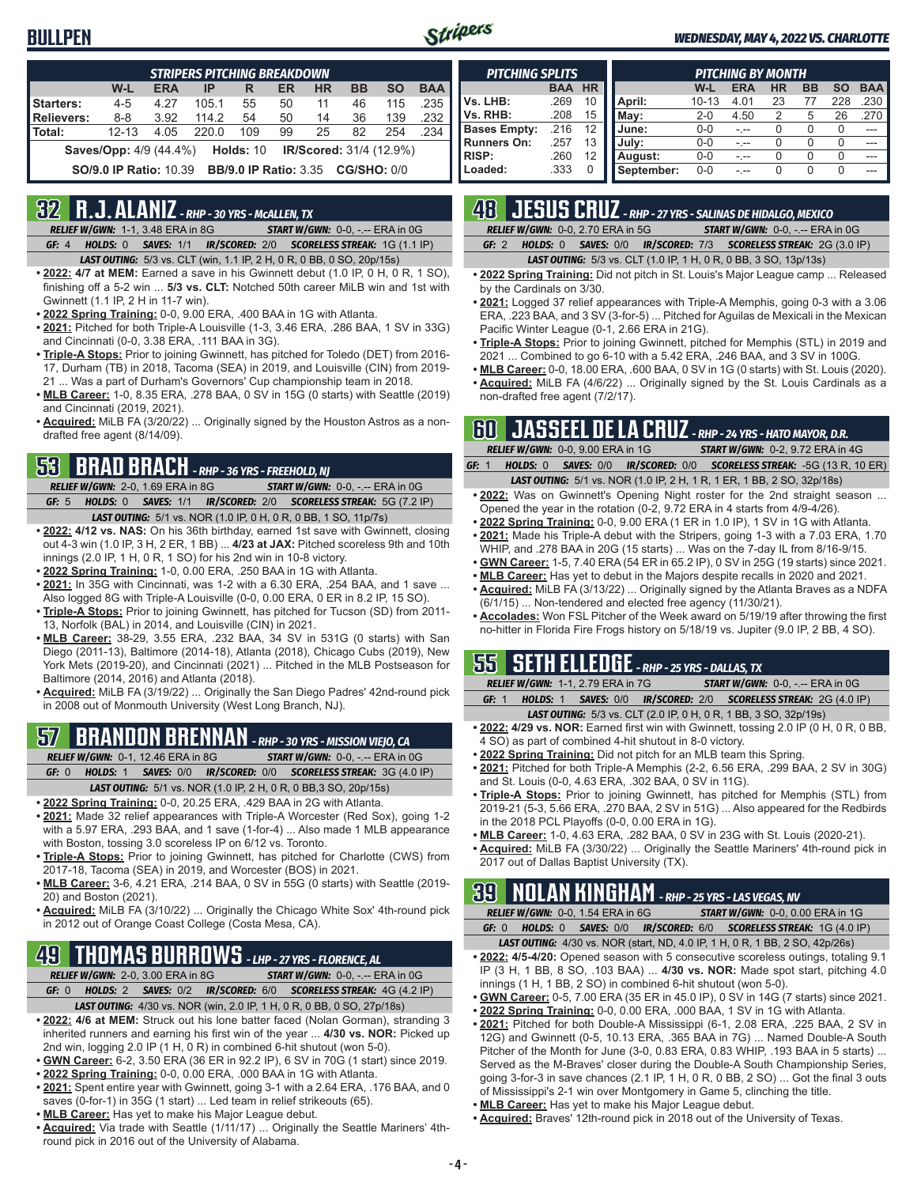### **BULLPEN**



#### *WEDNESDAY, MAY 4, 2022 VS. CHARLOTTE*

|            | <b>STRIPERS PITCHING BREAKDOWN</b>                                                  |            |       |     |    |           |           |           |            |  |  |
|------------|-------------------------------------------------------------------------------------|------------|-------|-----|----|-----------|-----------|-----------|------------|--|--|
|            | W-L                                                                                 | <b>ERA</b> | IP    | R   | ER | <b>HR</b> | <b>BB</b> | <b>SO</b> | <b>BAA</b> |  |  |
| Starters:  | $4 - 5$                                                                             | 4.27       | 105.1 | 55  | 50 | 11        | 46        | 115       | .235       |  |  |
| Relievers: | $8 - 8$                                                                             | 3.92       | 114.2 | 54  | 50 | 14        | 36        | 139       | .232       |  |  |
| l Total:   | $12 - 13$                                                                           | 4.05       | 220.0 | 109 | 99 | 25        | 82        | 254       | .234       |  |  |
|            | <b>Holds: 10</b><br><b>IR/Scored:</b> 31/4 (12.9%)<br><b>Saves/Opp:</b> 4/9 (44.4%) |            |       |     |    |           |           |           |            |  |  |
|            | <b>SO/9.0 IP Ratio: 10.39</b><br><b>BB/9.0 IP Ratio: 3.35</b><br>CG/SHO: 0/0        |            |       |     |    |           |           |           |            |  |  |

# **32 R.J. ALANIZ** *- RHP - 30 YRS - McALLEN, TX*

*RELIEF W/GWN:*1-1, 3.48 ERA in 8G *START W/GWN:*0-0, -.-- ERA in 0G *GF:*4 *HOLDS:*0 *SAVES:*1/1 *IR/SCORED:*2/0 *SCORELESS STREAK:*1G (1.1 IP)

*LAST OUTING:*5/3 vs. CLT (win, 1.1 IP, 2 H, 0 R, 0 BB, 0 SO, 20p/15s)

- **• 2022: 4/7 at MEM:** Earned a save in his Gwinnett debut (1.0 IP, 0 H, 0 R, 1 SO), finishing off a 5-2 win ... **5/3 vs. CLT:** Notched 50th career MiLB win and 1st with Gwinnett (1.1 IP, 2 H in 11-7 win).
- **• 2022 Spring Training:** 0-0, 9.00 ERA, .400 BAA in 1G with Atlanta.
- **• 2021:** Pitched for both Triple-A Louisville (1-3, 3.46 ERA, .286 BAA, 1 SV in 33G) and Cincinnati (0-0, 3.38 ERA, .111 BAA in 3G).
- **• Triple-A Stops:** Prior to joining Gwinnett, has pitched for Toledo (DET) from 2016- 17, Durham (TB) in 2018, Tacoma (SEA) in 2019, and Louisville (CIN) from 2019- 21 ... Was a part of Durham's Governors' Cup championship team in 2018.
- **• MLB Career:** 1-0, 8.35 ERA, .278 BAA, 0 SV in 15G (0 starts) with Seattle (2019) and Cincinnati (2019, 2021).
- **• Acquired:** MiLB FA (3/20/22) ... Originally signed by the Houston Astros as a nondrafted free agent (8/14/09).

# **53 BRAD BRACH** *- RHP - 36 YRS - FREEHOLD, NJ*

- *RELIEF W/GWN:*2-0, 1.69 ERA in 8G *START W/GWN:*0-0, -.-- ERA in 0G
- *GF:*5 *HOLDS:*0 *SAVES:*1/1 *IR/SCORED:*2/0 *SCORELESS STREAK:*5G (7.2 IP) *LAST OUTING:*5/1 vs. NOR (1.0 IP, 0 H, 0 R, 0 BB, 1 SO, 11p/7s)
- **• 2022: 4/12 vs. NAS:** On his 36th birthday, earned 1st save with Gwinnett, closing out 4-3 win (1.0 IP, 3 H, 2 ER, 1 BB) ... **4/23 at JAX:** Pitched scoreless 9th and 10th innings (2.0 IP, 1 H, 0 R, 1 SO) for his 2nd win in 10-8 victory.
- **• 2022 Spring Training:** 1-0, 0.00 ERA, .250 BAA in 1G with Atlanta.
- **• 2021:** In 35G with Cincinnati, was 1-2 with a 6.30 ERA, .254 BAA, and 1 save ... Also logged 8G with Triple-A Louisville (0-0, 0.00 ERA, 0 ER in 8.2 IP, 15 SO).
- **• Triple-A Stops:** Prior to joining Gwinnett, has pitched for Tucson (SD) from 2011- 13, Norfolk (BAL) in 2014, and Louisville (CIN) in 2021.
- **• MLB Career:** 38-29, 3.55 ERA, .232 BAA, 34 SV in 531G (0 starts) with San Diego (2011-13), Baltimore (2014-18), Atlanta (2018), Chicago Cubs (2019), New York Mets (2019-20), and Cincinnati (2021) ... Pitched in the MLB Postseason for Baltimore (2014, 2016) and Atlanta (2018).
- **• Acquired:** MiLB FA (3/19/22) ... Originally the San Diego Padres' 42nd-round pick in 2008 out of Monmouth University (West Long Branch, NJ).

### **57 BRANDON BRENNAN** *- RHP - 30 YRS - MISSION VIEJO, CA*

*RELIEF W/GWN:*0-1, 12.46 ERA in 8G *START W/GWN:*0-0, -.-- ERA in 0G

*GF:*0 *HOLDS:*1 *SAVES:*0/0 *IR/SCORED:*0/0 *SCORELESS STREAK:*3G (4.0 IP)

- *LAST OUTING:*5/1 vs. NOR (1.0 IP, 2 H, 0 R, 0 BB,3 SO, 20p/15s)
- **• 2022 Spring Training:** 0-0, 20.25 ERA, .429 BAA in 2G with Atlanta.
- **• 2021:** Made 32 relief appearances with Triple-A Worcester (Red Sox), going 1-2 with a 5.97 ERA, .293 BAA, and 1 save (1-for-4) ... Also made 1 MLB appearance with Boston, tossing 3.0 scoreless IP on 6/12 vs. Toronto.
- **• Triple-A Stops:** Prior to joining Gwinnett, has pitched for Charlotte (CWS) from 2017-18, Tacoma (SEA) in 2019, and Worcester (BOS) in 2021.
- **• MLB Career:** 3-6, 4.21 ERA, .214 BAA, 0 SV in 55G (0 starts) with Seattle (2019- 20) and Boston (2021).
- **• Acquired:** MiLB FA (3/10/22) ... Originally the Chicago White Sox' 4th-round pick in 2012 out of Orange Coast College (Costa Mesa, CA).

# **49 THOMAS BURROWS** *- LHP - 27 YRS - FLORENCE, AL*

- *RELIEF W/GWN:*2-0, 3.00 ERA in 8G *START W/GWN:*0-0, -.-- ERA in 0G *GF:*0 *HOLDS:*2 *SAVES:*0/2 *IR/SCORED:*6/0 *SCORELESS STREAK:*4G (4.2 IP) *LAST OUTING:*4/30 vs. NOR (win, 2.0 IP, 1 H, 0 R, 0 BB, 0 SO, 27p/18s)
- **• 2022: 4/6 at MEM:** Struck out his lone batter faced (Nolan Gorman), stranding 3 inherited runners and earning his first win of the year ... **4/30 vs. NOR:** Picked up 2nd win, logging 2.0 IP (1 H, 0 R) in combined 6-hit shutout (won 5-0).
- **• GWN Career:** 6-2, 3.50 ERA (36 ER in 92.2 IP), 6 SV in 70G (1 start) since 2019.
- **• 2022 Spring Training:** 0-0, 0.00 ERA, .000 BAA in 1G with Atlanta.
- **• 2021:** Spent entire year with Gwinnett, going 3-1 with a 2.64 ERA, .176 BAA, and 0 saves (0-for-1) in 35G (1 start) ... Led team in relief strikeouts (65).
- **• MLB Career:** Has yet to make his Major League debut.
- **• Acquired:** Via trade with Seattle (1/11/17) ... Originally the Seattle Mariners' 4thround pick in 2016 out of the University of Alabama.

| <b>PITCHING SPLITS</b> |            |           |            | <b>PITCHING BY MONTH</b> |            |           |           |           |            |  |  |
|------------------------|------------|-----------|------------|--------------------------|------------|-----------|-----------|-----------|------------|--|--|
|                        | <b>BAA</b> | <b>HR</b> |            | W-L                      | <b>ERA</b> | <b>HR</b> | <b>BB</b> | <b>SO</b> | <b>BAA</b> |  |  |
| Vs. LHB:               | .269       | 10        | April:     | $10 - 13$                | 4.01       | 23        | 77        | 228       | 230        |  |  |
| Vs. RHB:               | .208       | 15        | May:       | 2-0                      | 4.50       | 2         | 5         | 26        | .270       |  |  |
| <b>Bases Empty:</b>    | .216       | 12        | June:      | 0-0                      |            |           | U         | 0         |            |  |  |
| <b>Runners On:</b>     | .257       | 13        | July:      | $0 - 0$                  |            |           | U         | 0         |            |  |  |
| <b>RISP:</b>           | .260       | 12        | August:    | $0 - 0$                  |            |           | 0         | 0         |            |  |  |
| Loaded:                | .333       | 0         | September: | $0 - 0$                  |            |           | 0         | 0         |            |  |  |

# **48 JESUS CRUZ** *- RHP - 27 YRS - SALINAS DE HIDALGO, MEXICO*

|  | <b>RELIEF W/GWN: 0-0. 2.70 ERA in 5G</b> |  | <b>START W/GWN: 0-0, -.-- ERA in 0G/</b>                                      |  |
|--|------------------------------------------|--|-------------------------------------------------------------------------------|--|
|  |                                          |  | <b>GF: 2 HOLDS: 0 SAVES: 0/0 IR/SCORED: 7/3 SCORELESS STREAK: 2G (3.0 IP)</b> |  |

*LAST OUTING:*5/3 vs. CLT (1.0 IP, 1 H, 0 R, 0 BB, 3 SO, 13p/13s)

- **• 2022 Spring Training:** Did not pitch in St. Louis's Major League camp ... Released by the Cardinals on 3/30.
- **• 2021:** Logged 37 relief appearances with Triple-A Memphis, going 0-3 with a 3.06 ERA, .223 BAA, and 3 SV (3-for-5) ... Pitched for Aguilas de Mexicali in the Mexican Pacific Winter League (0-1, 2.66 ERA in 21G).
- **• Triple-A Stops:** Prior to joining Gwinnett, pitched for Memphis (STL) in 2019 and 2021 ... Combined to go 6-10 with a 5.42 ERA, .246 BAA, and 3 SV in 100G.
- **• MLB Career:** 0-0, 18.00 ERA, .600 BAA, 0 SV in 1G (0 starts) with St. Louis (2020). **• Acquired:** MiLB FA (4/6/22) ... Originally signed by the St. Louis Cardinals as a
- non-drafted free agent (7/2/17).

# **60 JASSEEL DE LA CRUZ** *- RHP - 24 YRS - HATO MAYOR, D.R.*

| _________ |                                   |                                                                               | the contract of the contract of the contract of the contract of the contract of the contract of the contract of |                                         |
|-----------|-----------------------------------|-------------------------------------------------------------------------------|-----------------------------------------------------------------------------------------------------------------|-----------------------------------------|
|           | RELIEF W/GWN: 0-0, 9.00 ERA in 1G |                                                                               |                                                                                                                 | <b>START W/GWN: 0-2, 9.72 ERA in 4G</b> |
| GF: 1     |                                   | <b>HOLDS: 0 SAVES: 0/0 IR/SCORED: 0/0 SCORELESS STREAK: -5G (13 R, 10 ER)</b> |                                                                                                                 |                                         |
|           |                                   | $1467.017016.511.110D(4.010.011.4D.4ED.4DD.0.00.00.140.1$                     |                                                                                                                 |                                         |

- *LAST OUTING:*5/1 vs. NOR (1.0 IP, 2 H, 1 R, 1 ER, 1 BB, 2 SO, 32p/18s) **• 2022:** Was on Gwinnett's Opening Night roster for the 2nd straight season ...
- Opened the year in the rotation (0-2, 9.72 ERA in 4 starts from 4/9-4/26). **• 2022 Spring Training:** 0-0, 9.00 ERA (1 ER in 1.0 IP), 1 SV in 1G with Atlanta.
- **• 2021:** Made his Triple-A debut with the Stripers, going 1-3 with a 7.03 ERA, 1.70 WHIP, and .278 BAA in 20G (15 starts) ... Was on the 7-day IL from 8/16-9/15.
- **• GWN Career:** 1-5, 7.40 ERA (54 ER in 65.2 IP), 0 SV in 25G (19 starts) since 2021.
- **• MLB Career:** Has yet to debut in the Majors despite recalls in 2020 and 2021.
- **• Acquired:** MiLB FA (3/13/22) ... Originally signed by the Atlanta Braves as a NDFA (6/1/15) ... Non-tendered and elected free agency (11/30/21).
- **• Accolades:** Won FSL Pitcher of the Week award on 5/19/19 after throwing the first no-hitter in Florida Fire Frogs history on 5/18/19 vs. Jupiter (9.0 IP, 2 BB, 4 SO).

### **55 SETH ELLEDGE** *- RHP - 25 YRS - DALLAS, TX*

*RELIEF W/GWN:*1-1, 2.79 ERA in 7G *START W/GWN:*0-0, -.-- ERA in 0G *GF:*1 *HOLDS:*1 *SAVES:*0/0 *IR/SCORED:*2/0 *SCORELESS STREAK:*2G (4.0 IP)

- *LAST OUTING:*5/3 vs. CLT (2.0 IP, 0 H, 0 R, 1 BB, 3 SO, 32p/19s) **• 2022: 4/29 vs. NOR:** Earned first win with Gwinnett, tossing 2.0 IP (0 H, 0 R, 0 BB,
- 4 SO) as part of combined 4-hit shutout in 8-0 victory.
- **• 2022 Spring Training:** Did not pitch for an MLB team this Spring.
- **• 2021:** Pitched for both Triple-A Memphis (2-2, 6.56 ERA, .299 BAA, 2 SV in 30G) and St. Louis (0-0, 4.63 ERA, .302 BAA, 0 SV in 11G).
- **• Triple-A Stops:** Prior to joining Gwinnett, has pitched for Memphis (STL) from 2019-21 (5-3, 5.66 ERA, .270 BAA, 2 SV in 51G) ... Also appeared for the Redbirds in the 2018 PCL Playoffs (0-0, 0.00 ERA in 1G).
- **• MLB Career:** 1-0, 4.63 ERA, .282 BAA, 0 SV in 23G with St. Louis (2020-21).
- **• Acquired:** MiLB FA (3/30/22) ... Originally the Seattle Mariners' 4th-round pick in 2017 out of Dallas Baptist University (TX).

# **39 NOLAN KINGHAM** *- RHP - 25 YRS - LAS VEGAS, NV*

| <b>RELIEF W/GWN: 0-0, 1.54 ERA in 6G</b> | <b>START W/GWN: 0-0.0.00 ERA in 1G</b>                                                          |
|------------------------------------------|-------------------------------------------------------------------------------------------------|
| GF: 0                                    | HOLDS: 0 SAVES: 0/0 IR/SCORED: 6/0 SCORELESS STREAK: 1G (4.0 IP)                                |
|                                          | LACT OUTSING $A/20 \dots A/20$ $(1.1 - 1.100A)$ $A/2$ $B/4$ $D/2$ $A/2$ $D/2$ $A/2$ $D/2$ $A/2$ |

- *LAST OUTING:*4/30 vs. NOR (start, ND, 4.0 IP, 1 H, 0 R, 1 BB, 2 SO, 42p/26s) **• 2022: 4/5-4/20:** Opened season with 5 consecutive scoreless outings, totaling 9.1 IP (3 H, 1 BB, 8 SO, .103 BAA) ... **4/30 vs. NOR:** Made spot start, pitching 4.0 innings (1 H, 1 BB, 2 SO) in combined 6-hit shutout (won 5-0).
- **• GWN Career:** 0-5, 7.00 ERA (35 ER in 45.0 IP), 0 SV in 14G (7 starts) since 2021.
- **• 2022 Spring Training:** 0-0, 0.00 ERA, .000 BAA, 1 SV in 1G with Atlanta.
- **• 2021:** Pitched for both Double-A Mississippi (6-1, 2.08 ERA, .225 BAA, 2 SV in 12G) and Gwinnett (0-5, 10.13 ERA, .365 BAA in 7G) ... Named Double-A South Pitcher of the Month for June (3-0, 0.83 ERA, 0.83 WHIP, .193 BAA in 5 starts) ... Served as the M-Braves' closer during the Double-A South Championship Series, going 3-for-3 in save chances (2.1 IP, 1 H, 0 R, 0 BB, 2 SO) ... Got the final 3 outs of Mississippi's 2-1 win over Montgomery in Game 5, clinching the title.
- **• MLB Career:** Has yet to make his Major League debut.
- **• Acquired:** Braves' 12th-round pick in 2018 out of the University of Texas.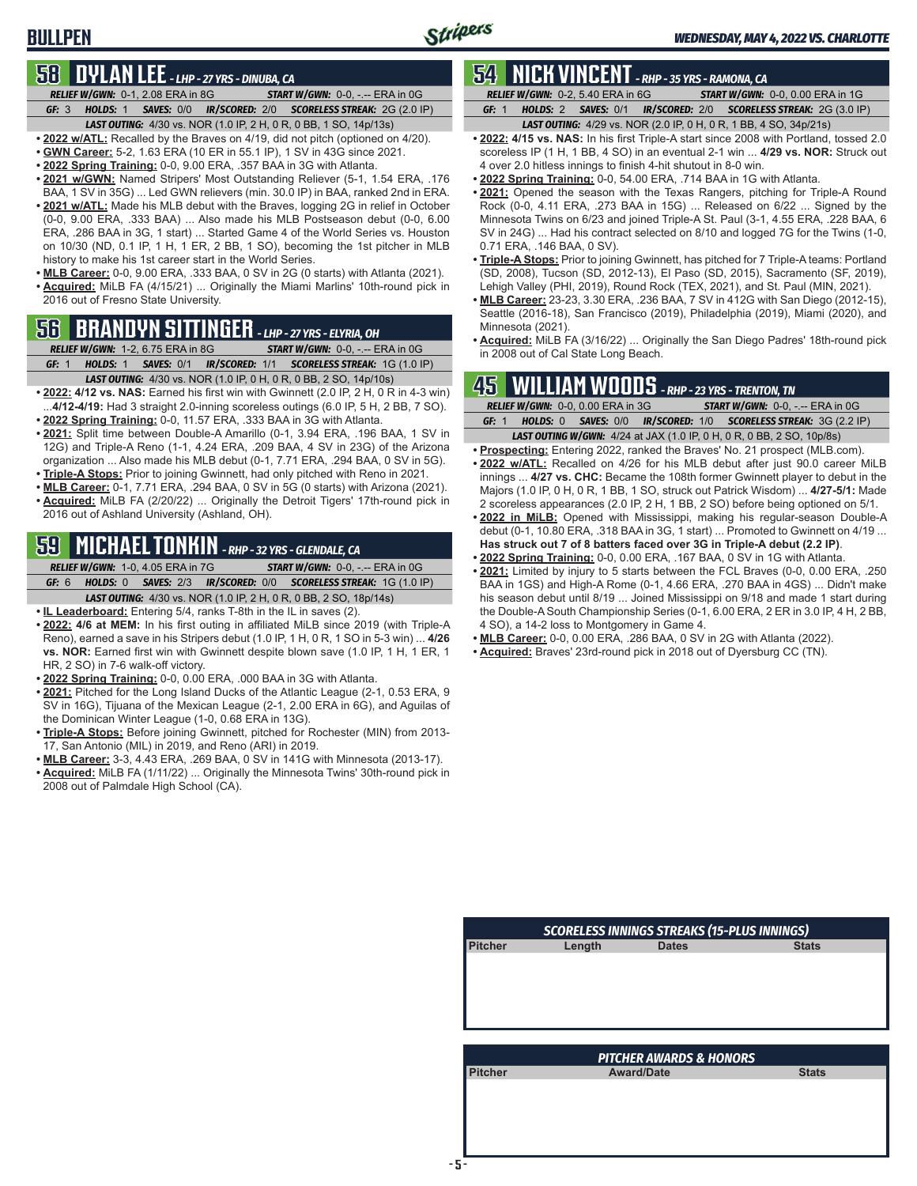## **BULLPEN**

# **58 DYLAN LEE** *- LHP - 27 YRS - DINUBA, CA*

*RELIEF W/GWN:*0-1, 2.08 ERA in 8G *START W/GWN:*0-0, -.-- ERA in 0G *GF:*3 *HOLDS:*1 *SAVES:*0/0 *IR/SCORED:*2/0 *SCORELESS STREAK:*2G (2.0 IP)

*LAST OUTING:*4/30 vs. NOR (1.0 IP, 2 H, 0 R, 0 BB, 1 SO, 14p/13s) **• 2022 w/ATL:** Recalled by the Braves on 4/19, did not pitch (optioned on 4/20).

- **• GWN Career:** 5-2, 1.63 ERA (10 ER in 55.1 IP), 1 SV in 43G since 2021.
- **• 2022 Spring Training:** 0-0, 9.00 ERA, .357 BAA in 3G with Atlanta.
- **• 2021 w/GWN:** Named Stripers' Most Outstanding Reliever (5-1, 1.54 ERA, .176
- BAA, 1 SV in 35G) ... Led GWN relievers (min. 30.0 IP) in BAA, ranked 2nd in ERA. **• 2021 w/ATL:** Made his MLB debut with the Braves, logging 2G in relief in October (0-0, 9.00 ERA, .333 BAA) ... Also made his MLB Postseason debut (0-0, 6.00 ERA, .286 BAA in 3G, 1 start) ... Started Game 4 of the World Series vs. Houston on 10/30 (ND, 0.1 IP, 1 H, 1 ER, 2 BB, 1 SO), becoming the 1st pitcher in MLB history to make his 1st career start in the World Series.
- **• MLB Career:** 0-0, 9.00 ERA, .333 BAA, 0 SV in 2G (0 starts) with Atlanta (2021). **• Acquired:** MiLB FA (4/15/21) ... Originally the Miami Marlins' 10th-round pick in 2016 out of Fresno State University.

# **56 BRANDYN SITTINGER** *- LHP - 27 YRS - ELYRIA, OH*

*RELIEF W/GWN:*1-2, 6.75 ERA in 8G *START W/GWN:*0-0, -.-- ERA in 0G *GF:*1 *HOLDS:*1 *SAVES:*0/1 *IR/SCORED:*1/1 *SCORELESS STREAK:*1G (1.0 IP)

- *LAST OUTING:*4/30 vs. NOR (1.0 IP, 0 H, 0 R, 0 BB, 2 SO, 14p/10s)
- **• 2022: 4/12 vs. NAS:** Earned his first win with Gwinnett (2.0 IP, 2 H, 0 R in 4-3 win) ...**4/12-4/19:** Had 3 straight 2.0-inning scoreless outings (6.0 IP, 5 H, 2 BB, 7 SO). **• 2022 Spring Training:** 0-0, 11.57 ERA, .333 BAA in 3G with Atlanta.
- **• 2021:** Split time between Double-A Amarillo (0-1, 3.94 ERA, .196 BAA, 1 SV in 12G) and Triple-A Reno (1-1, 4.24 ERA, .209 BAA, 4 SV in 23G) of the Arizona organization ... Also made his MLB debut (0-1, 7.71 ERA, .294 BAA, 0 SV in 5G).
- **• Triple-A Stops:** Prior to joining Gwinnett, had only pitched with Reno in 2021.
- **• MLB Career:** 0-1, 7.71 ERA, .294 BAA, 0 SV in 5G (0 starts) with Arizona (2021).
- **• Acquired:** MiLB FA (2/20/22) ... Originally the Detroit Tigers' 17th-round pick in 2016 out of Ashland University (Ashland, OH).

# **59 MICHAEL TONKIN** *- RHP - 32 YRS - GLENDALE, CA*

*RELIEF W/GWN:*1-0, 4.05 ERA in 7G *START W/GWN:*0-0, -.-- ERA in 0G *GF:*6 *HOLDS:*0 *SAVES:*2/3 *IR/SCORED:*0/0 *SCORELESS STREAK:*1G (1.0 IP)

*LAST OUTING:*4/30 vs. NOR (1.0 IP, 2 H, 0 R, 0 BB, 2 SO, 18p/14s)

- **• IL Leaderboard:** Entering 5/4, ranks T-8th in the IL in saves (2).
- **• 2022: 4/6 at MEM:** In his first outing in affiliated MiLB since 2019 (with Triple-A Reno), earned a save in his Stripers debut (1.0 IP, 1 H, 0 R, 1 SO in 5-3 win) ... **4/26 vs. NOR:** Earned first win with Gwinnett despite blown save (1.0 IP, 1 H, 1 ER, 1 HR, 2 SO) in 7-6 walk-off victory.
- **• 2022 Spring Training:** 0-0, 0.00 ERA, .000 BAA in 3G with Atlanta.
- **• 2021:** Pitched for the Long Island Ducks of the Atlantic League (2-1, 0.53 ERA, 9 SV in 16G), Tijuana of the Mexican League (2-1, 2.00 ERA in 6G), and Aguilas of the Dominican Winter League (1-0, 0.68 ERA in 13G).
- **• Triple-A Stops:** Before joining Gwinnett, pitched for Rochester (MIN) from 2013- 17, San Antonio (MIL) in 2019, and Reno (ARI) in 2019.
- **• MLB Career:** 3-3, 4.43 ERA, .269 BAA, 0 SV in 141G with Minnesota (2013-17).
- **• Acquired:** MiLB FA (1/11/22) ... Originally the Minnesota Twins' 30th-round pick in 2008 out of Palmdale High School (CA).

# **54 NICK VINCENT** *- RHP - 35 YRS - RAMONA, CA*

*RELIEF W/GWN:*0-2, 5.40 ERA in 6G *START W/GWN:*0-0, 0.00 ERA in 1G *GF:*1 *HOLDS:*2 *SAVES:*0/1 *IR/SCORED:*2/0 *SCORELESS STREAK:*2G (3.0 IP)

- *LAST OUTING:*4/29 vs. NOR (2.0 IP, 0 H, 0 R, 1 BB, 4 SO, 34p/21s)
- **• 2022: 4/15 vs. NAS:** In his first Triple-A start since 2008 with Portland, tossed 2.0 scoreless IP (1 H, 1 BB, 4 SO) in an eventual 2-1 win ... **4/29 vs. NOR:** Struck out 4 over 2.0 hitless innings to finish 4-hit shutout in 8-0 win.
- **• 2022 Spring Training:** 0-0, 54.00 ERA, .714 BAA in 1G with Atlanta.
- **• 2021:** Opened the season with the Texas Rangers, pitching for Triple-A Round Rock (0-0, 4.11 ERA, .273 BAA in 15G) ... Released on 6/22 ... Signed by the Minnesota Twins on 6/23 and joined Triple-A St. Paul (3-1, 4.55 ERA, .228 BAA, 6 SV in 24G) ... Had his contract selected on 8/10 and logged 7G for the Twins (1-0, 0.71 ERA, .146 BAA, 0 SV).
- **• Triple-A Stops:** Prior to joining Gwinnett, has pitched for 7 Triple-A teams: Portland (SD, 2008), Tucson (SD, 2012-13), El Paso (SD, 2015), Sacramento (SF, 2019), Lehigh Valley (PHI, 2019), Round Rock (TEX, 2021), and St. Paul (MIN, 2021).
- **• MLB Career:** 23-23, 3.30 ERA, .236 BAA, 7 SV in 412G with San Diego (2012-15), Seattle (2016-18), San Francisco (2019), Philadelphia (2019), Miami (2020), and Minnesota (2021).
- **• Acquired:** MiLB FA (3/16/22) ... Originally the San Diego Padres' 18th-round pick in 2008 out of Cal State Long Beach.

### **45 WILLIAM WOODS** *- RHP - 23 YRS - TRENTON, TN*

|       |                                   |  |  | INSTRUMENTING THEORY NILL 2011 OF THE MICHIGAN                               |                                                                  |  |
|-------|-----------------------------------|--|--|------------------------------------------------------------------------------|------------------------------------------------------------------|--|
|       | RELIEF W/GWN: 0-0, 0.00 ERA in 3G |  |  |                                                                              | <b>START W/GWN: <math>0-0</math>.</b> -.-- ERA in $0G$           |  |
| GF: 1 |                                   |  |  |                                                                              | HOLDS: 0 SAVES: 0/0 IR/SCORED: 1/0 SCORELESS STREAK: 3G (2.2 IP) |  |
|       |                                   |  |  | <b>LAST OUTING W/GWN:</b> 4/24 at JAX (1.0 IP, 0 H, 0 R, 0 BB, 2 SO, 10p/8s) |                                                                  |  |

- **• Prospecting:** Entering 2022, ranked the Braves' No. 21 prospect (MLB.com).
- **• 2022 w/ATL:** Recalled on 4/26 for his MLB debut after just 90.0 career MiLB innings ... **4/27 vs. CHC:** Became the 108th former Gwinnett player to debut in the Majors (1.0 IP, 0 H, 0 R, 1 BB, 1 SO, struck out Patrick Wisdom) ... **4/27-5/1:** Made 2 scoreless appearances (2.0 IP, 2 H, 1 BB, 2 SO) before being optioned on 5/1.
- **• 2022 in MiLB:** Opened with Mississippi, making his regular-season Double-A debut (0-1, 10.80 ERA, .318 BAA in 3G, 1 start) ... Promoted to Gwinnett on 4/19 ... **Has struck out 7 of 8 batters faced over 3G in Triple-A debut (2.2 IP)**.
- **• 2022 Spring Training:** 0-0, 0.00 ERA, .167 BAA, 0 SV in 1G with Atlanta.
- **• 2021:** Limited by injury to 5 starts between the FCL Braves (0-0, 0.00 ERA, .250 BAA in 1GS) and High-A Rome (0-1, 4.66 ERA, .270 BAA in 4GS) ... Didn't make his season debut until 8/19 ... Joined Mississippi on 9/18 and made 1 start during the Double-A South Championship Series (0-1, 6.00 ERA, 2 ER in 3.0 IP, 4 H, 2 BB, 4 SO), a 14-2 loss to Montgomery in Game 4.
- **• MLB Career:** 0-0, 0.00 ERA, .286 BAA, 0 SV in 2G with Atlanta (2022).
- **• Acquired:** Braves' 23rd-round pick in 2018 out of Dyersburg CC (TN).

| <b>SCORELESS INNINGS STREAKS (15-PLUS INNINGS)</b> |        |                                    |              |  |  |
|----------------------------------------------------|--------|------------------------------------|--------------|--|--|
| <b>Pitcher</b>                                     | Length | <b>Dates</b>                       | <b>Stats</b> |  |  |
|                                                    |        |                                    |              |  |  |
|                                                    |        |                                    |              |  |  |
|                                                    |        |                                    |              |  |  |
|                                                    |        |                                    |              |  |  |
|                                                    |        |                                    |              |  |  |
|                                                    |        |                                    |              |  |  |
|                                                    |        |                                    |              |  |  |
|                                                    |        | <b>PITCHER AWARDS &amp; HONORS</b> |              |  |  |
| <b>Pitcher</b>                                     |        | <b>Award/Date</b>                  | <b>Stats</b> |  |  |
|                                                    |        |                                    |              |  |  |
|                                                    |        |                                    |              |  |  |
|                                                    |        |                                    |              |  |  |
|                                                    |        |                                    |              |  |  |
|                                                    |        |                                    |              |  |  |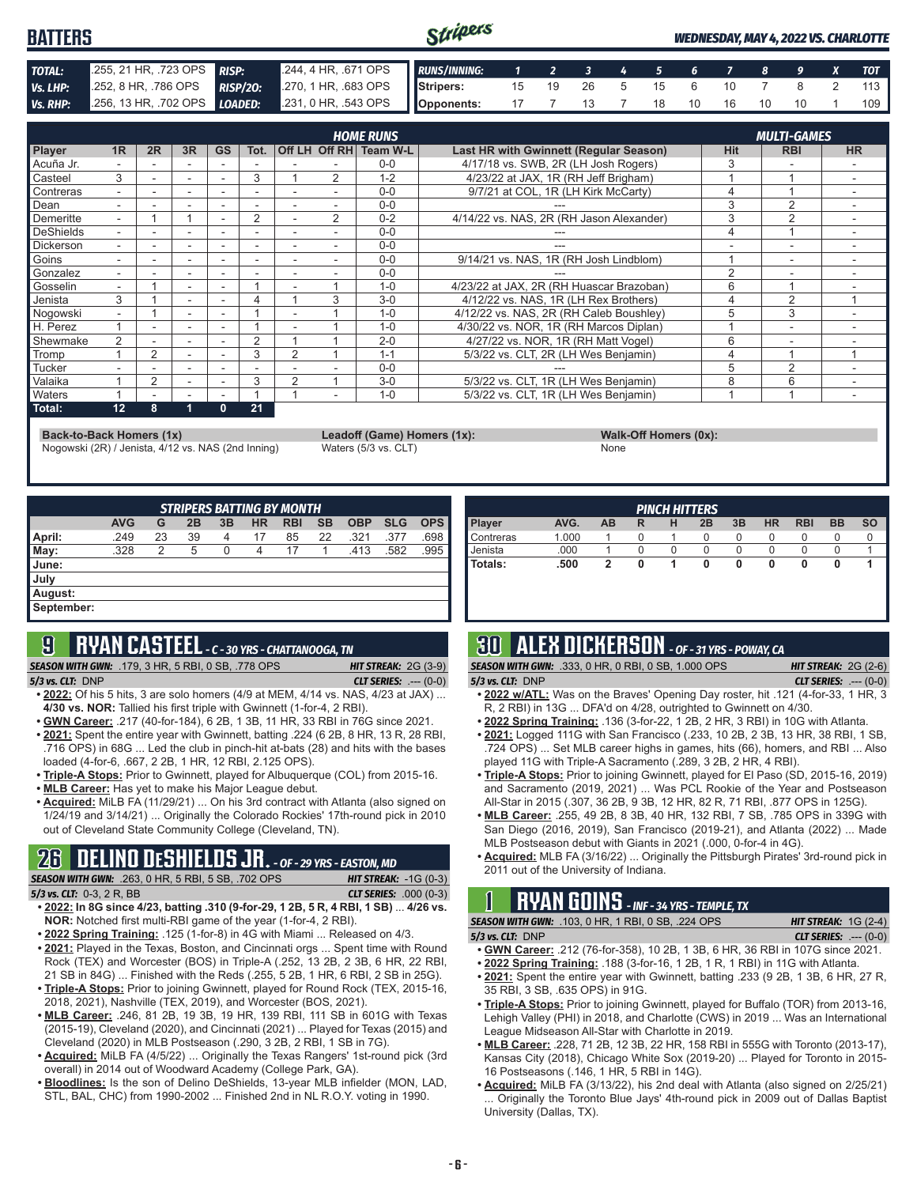#### Stripers **BATTERS** *WEDNESDAY, MAY 4, 2022 VS. CHARLOTTE TOTAL:* .255, 21 HR, .723 OPS *RISP:* .244, 4 HR, .671 OPS *RUNS/INNING: 1 2 3 4 5 6 7 8 9 X TOT Vs. LHP:* .252, 8 HR, .786 OPS *RISP/2O:* .270, 1 HR, .683 OPS **Stripers:** 15 19 26 5 15 6 10 7 8 2 113 *Vs. RHP:* .256, 13 HR, .702 OPS *LOADED:* .231, 0 HR, .543 OPS **Opponents:** 17 7 13 7 18 10 16 10 10 1 109

| <b>HOME RUNS</b> |                          |                |    |              |      |                |                |                        |                                          | <b>MULTI-GAMES</b> |                |           |
|------------------|--------------------------|----------------|----|--------------|------|----------------|----------------|------------------------|------------------------------------------|--------------------|----------------|-----------|
| <b>Player</b>    | 1R                       | 2R             | 3R | <b>GS</b>    | Tot. |                |                | Off LH Off RH Team W-L | Last HR with Gwinnett (Regular Season)   | <b>Hit</b>         | <b>RBI</b>     | <b>HR</b> |
| Acuña Jr.        |                          |                |    |              |      |                |                | $0 - 0$                | 4/17/18 vs. SWB, 2R (LH Josh Rogers)     | 3                  |                |           |
| Casteel          | 3                        |                | ۰  |              | 3    |                | 2              | $1 - 2$                | 4/23/22 at JAX, 1R (RH Jeff Brigham)     |                    |                |           |
| Contreras        |                          |                |    |              |      |                |                | $0 - 0$                | 9/7/21 at COL, 1R (LH Kirk McCarty)      | 4                  |                |           |
| Dean             |                          |                | ۰  |              |      |                |                | $0 - 0$                |                                          | 3                  | $\overline{2}$ |           |
| Demeritte        | $\overline{\phantom{a}}$ |                |    | ۰            | 2    |                | $\overline{2}$ | $0 - 2$                | 4/14/22 vs. NAS, 2R (RH Jason Alexander) | 3                  | $\overline{2}$ |           |
| DeShields        |                          |                |    |              |      |                |                | $0 - 0$                |                                          | 4                  |                |           |
| <b>Dickerson</b> |                          | -              | ۰  |              |      |                |                | $0 - 0$                |                                          | ۰                  | ۰              |           |
| Goins            |                          |                | ۰  |              |      |                |                | $0 - 0$                | 9/14/21 vs. NAS, 1R (RH Josh Lindblom)   |                    | ۰              |           |
| Gonzalez         |                          |                |    |              |      |                |                | $0 - 0$                |                                          | $\overline{2}$     |                |           |
| Gosselin         | ۰.                       |                | ٠  | ٠            |      |                |                | $1 - 0$                | 4/23/22 at JAX, 2R (RH Huascar Brazoban) | 6                  |                |           |
| Jenista          | 3                        |                | ۰  |              | 4    |                | 3              | $3-0$                  | 4/12/22 vs. NAS, 1R (LH Rex Brothers)    |                    | 2              |           |
| Nogowski         |                          |                |    |              |      |                |                | $1 - 0$                | 4/12/22 vs. NAS, 2R (RH Caleb Boushley)  | 5                  | 3              |           |
| H. Perez         |                          | ä,             | ٠  |              |      |                |                | $1 - 0$                | 4/30/22 vs. NOR, 1R (RH Marcos Diplan)   |                    | -              |           |
| Shewmake         | $\overline{2}$           |                | ۰  |              | 2    |                |                | $2 - 0$                | 4/27/22 vs. NOR, 1R (RH Matt Vogel)      | 6                  | ۰              |           |
| Tromp            |                          | $\overline{2}$ |    |              | 3    | $\mathcal{P}$  |                | $1 - 1$                | 5/3/22 vs. CLT, 2R (LH Wes Benjamin)     | 4                  |                |           |
| <b>Tucker</b>    |                          |                | ۰  |              |      |                |                | $0 - 0$                |                                          | 5                  | 2              |           |
| <b>Valaika</b>   |                          | 2              | ٠. |              | 3    | $\overline{2}$ |                | $3-0$                  | 5/3/22 vs. CLT, 1R (LH Wes Benjamin)     | 8                  | 6              |           |
| <b>Waters</b>    |                          |                |    |              |      |                |                | $1 - 0$                | 5/3/22 vs. CLT, 1R (LH Wes Benjamin)     |                    |                |           |
| Total:           | 12                       | 8              | 1  | $\mathbf{0}$ | 21   |                |                |                        |                                          |                    |                |           |

**Back-to-Back Homers (1x) Leadoff (Game) Homers (1x): Walk-Off Homers (0x):**

Nogowski (2R) / Jenista, 4/12 vs. NAS (2nd Inning) Waters (5/3 vs. CLT) None

| <b>STRIPERS BATTING BY MONTH</b> |            |    |    |    |           |            |    |            |            |            |
|----------------------------------|------------|----|----|----|-----------|------------|----|------------|------------|------------|
|                                  | <b>AVG</b> | G  | 2B | 3B | <b>HR</b> | <b>RBI</b> | SB | <b>OBP</b> | <b>SLG</b> | <b>OPS</b> |
| April:                           | .249       | 23 | 39 | 4  | 17        | 85         | 22 | .321       | .377       | .698       |
| May:                             | .328       | 2  | 5  | 0  | 4         | 17         |    | .413       | .582       | .995       |
| June:                            |            |    |    |    |           |            |    |            |            |            |
| July                             |            |    |    |    |           |            |    |            |            |            |
| August:                          |            |    |    |    |           |            |    |            |            |            |
| September:                       |            |    |    |    |           |            |    |            |            |            |
|                                  |            |    |    |    |           |            |    |            |            |            |

# **9 RYAN CASTEEL** *- C - 30 YRS - CHATTANOOGA, TN*

**SEASON WITH GWN:** .179, 3 HR, 5 RBI, 0 SB, .778 OPS *5/3 vs. CLT:*DNP *CLT SERIES:* .--- (0-0)

- **• 2022:** Of his 5 hits, 3 are solo homers (4/9 at MEM, 4/14 vs. NAS, 4/23 at JAX) ... **4/30 vs. NOR:** Tallied his first triple with Gwinnett (1-for-4, 2 RBI).
- **• GWN Career:** .217 (40-for-184), 6 2B, 1 3B, 11 HR, 33 RBI in 76G since 2021.
- **• 2021:** Spent the entire year with Gwinnett, batting .224 (6 2B, 8 HR, 13 R, 28 RBI, .716 OPS) in 68G ... Led the club in pinch-hit at-bats (28) and hits with the bases loaded (4-for-6, .667, 2 2B, 1 HR, 12 RBI, 2.125 OPS).
- **• Triple-A Stops:** Prior to Gwinnett, played for Albuquerque (COL) from 2015-16. **• MLB Career:** Has yet to make his Major League debut.
- **• Acquired:** MiLB FA (11/29/21) ... On his 3rd contract with Atlanta (also signed on 1/24/19 and 3/14/21) ... Originally the Colorado Rockies' 17th-round pick in 2010 out of Cleveland State Community College (Cleveland, TN).

# **26 DELINO DESHIELDS JR.** *- OF - 29 YRS - EASTON, MD*

| <b>SEASON WITH GWN:</b> .263, 0 HR, 5 RBI, 5 SB, .702 OPS                                                                                                                                                                      | <b>HIT STREAK: -1G (0-3)</b>  |
|--------------------------------------------------------------------------------------------------------------------------------------------------------------------------------------------------------------------------------|-------------------------------|
| 5/3 vs. CLT: $0-3$ , $2R$ , BB                                                                                                                                                                                                 | <b>CLT SERIES:</b> .000 (0-3) |
| $(0.000, 0.000, 0.000, 0.000, 0.000, 0.000, 0.000, 0.000, 0.000, 0.000, 0.000, 0.000, 0.000, 0.000, 0.000, 0.000, 0.000, 0.000, 0.000, 0.000, 0.000, 0.000, 0.000, 0.000, 0.000, 0.000, 0.000, 0.000, 0.000, 0.000, 0.000, 0.$ |                               |

- **• 2022: In 8G since 4/23, batting .310 (9-for-29, 1 2B, 5 R, 4 RBI, 1 SB)** ... **4/26 vs. NOR:** Notched first multi-RBI game of the year (1-for-4, 2 RBI).
- **• 2022 Spring Training:** .125 (1-for-8) in 4G with Miami ... Released on 4/3. **• 2021:** Played in the Texas, Boston, and Cincinnati orgs ... Spent time with Round Rock (TEX) and Worcester (BOS) in Triple-A (.252, 13 2B, 2 3B, 6 HR, 22 RBI, 21 SB in 84G) ... Finished with the Reds (.255, 5 2B, 1 HR, 6 RBI, 2 SB in 25G). **• Triple-A Stops:** Prior to joining Gwinnett, played for Round Rock (TEX, 2015-16,
- 2018, 2021), Nashville (TEX, 2019), and Worcester (BOS, 2021).
- **• MLB Career:** .246, 81 2B, 19 3B, 19 HR, 139 RBI, 111 SB in 601G with Texas (2015-19), Cleveland (2020), and Cincinnati (2021) ... Played for Texas (2015) and Cleveland (2020) in MLB Postseason (.290, 3 2B, 2 RBI, 1 SB in 7G).
- **• Acquired:** MiLB FA (4/5/22) ... Originally the Texas Rangers' 1st-round pick (3rd overall) in 2014 out of Woodward Academy (College Park, GA).
- **• Bloodlines:** Is the son of Delino DeShields, 13-year MLB infielder (MON, LAD, STL, BAL, CHC) from 1990-2002 ... Finished 2nd in NL R.O.Y. voting in 1990.

| <b>PINCH HITTERS</b> |       |    |   |   |    |    |           |            |           |           |
|----------------------|-------|----|---|---|----|----|-----------|------------|-----------|-----------|
| <b>Player</b>        | AVG.  | AB | R | н | 2B | 3B | <b>HR</b> | <b>RBI</b> | <b>BB</b> | <b>SO</b> |
| Contreras            | 1.000 |    |   |   | 0  |    | O         | O          |           |           |
| Jenista              | .000  |    |   | 0 |    |    |           |            |           |           |
| Totals:              | .500  |    | 0 |   | 0  | 0  | 0         |            | u         |           |
|                      |       |    |   |   |    |    |           |            |           |           |
|                      |       |    |   |   |    |    |           |            |           |           |

# **30 ALEX DICKERSON** *- OF - 31 YRS - POWAY, CA*

| <b>SEASON WITH GWN:</b> .333, 0 HR, 0 RBI, 0 SB, 1.000 OPS | <b>HIT STREAK:</b> $2G(2-6)$   |
|------------------------------------------------------------|--------------------------------|
| $5/3$ vs. CLT: DNP                                         | <b>CLT SERIES:</b> $--- (0-0)$ |

- **• 2022 w/ATL:** Was on the Braves' Opening Day roster, hit .121 (4-for-33, 1 HR, 3 R, 2 RBI) in 13G ... DFA'd on 4/28, outrighted to Gwinnett on 4/30.
- **• 2022 Spring Training:** .136 (3-for-22, 1 2B, 2 HR, 3 RBI) in 10G with Atlanta.
- **• 2021:** Logged 111G with San Francisco (.233, 10 2B, 2 3B, 13 HR, 38 RBI, 1 SB, .724 OPS) ... Set MLB career highs in games, hits (66), homers, and RBI ... Also played 11G with Triple-A Sacramento (.289, 3 2B, 2 HR, 4 RBI).
- **• Triple-A Stops:** Prior to joining Gwinnett, played for El Paso (SD, 2015-16, 2019) and Sacramento (2019, 2021) ... Was PCL Rookie of the Year and Postseason All-Star in 2015 (.307, 36 2B, 9 3B, 12 HR, 82 R, 71 RBI, .877 OPS in 125G).
- **• MLB Career:** .255, 49 2B, 8 3B, 40 HR, 132 RBI, 7 SB, .785 OPS in 339G with San Diego (2016, 2019), San Francisco (2019-21), and Atlanta (2022) ... Made MLB Postseason debut with Giants in 2021 (.000, 0-for-4 in 4G).
- **• Acquired:** MLB FA (3/16/22) ... Originally the Pittsburgh Pirates' 3rd-round pick in 2011 out of the University of Indiana.

# **1 RYAN GOINS** *- INF - 34 YRS - TEMPLE, TX*

| <b>SEASON WITH GWN: .103, 0 HR, 1 RBI, 0 SB, .224 OPS</b> | <b>HIT STREAK:</b> $1G(2-4)$  |
|-----------------------------------------------------------|-------------------------------|
| $5/3$ vs. CLT: DNP                                        | <b>CLT SERIES:</b> $---(0-0)$ |

- **• GWN Career:** .212 (76-for-358), 10 2B, 1 3B, 6 HR, 36 RBI in 107G since 2021.
- **• 2022 Spring Training:** .188 (3-for-16, 1 2B, 1 R, 1 RBI) in 11G with Atlanta.
- **• 2021:** Spent the entire year with Gwinnett, batting .233 (9 2B, 1 3B, 6 HR, 27 R, 35 RBI, 3 SB, .635 OPS) in 91G.
- **• Triple-A Stops:** Prior to joining Gwinnett, played for Buffalo (TOR) from 2013-16, Lehigh Valley (PHI) in 2018, and Charlotte (CWS) in 2019 ... Was an International League Midseason All-Star with Charlotte in 2019.
- **• MLB Career:** .228, 71 2B, 12 3B, 22 HR, 158 RBI in 555G with Toronto (2013-17), Kansas City (2018), Chicago White Sox (2019-20) ... Played for Toronto in 2015- 16 Postseasons (.146, 1 HR, 5 RBI in 14G).
- **• Acquired:** MiLB FA (3/13/22), his 2nd deal with Atlanta (also signed on 2/25/21) Originally the Toronto Blue Jays' 4th-round pick in 2009 out of Dallas Baptist University (Dallas, TX).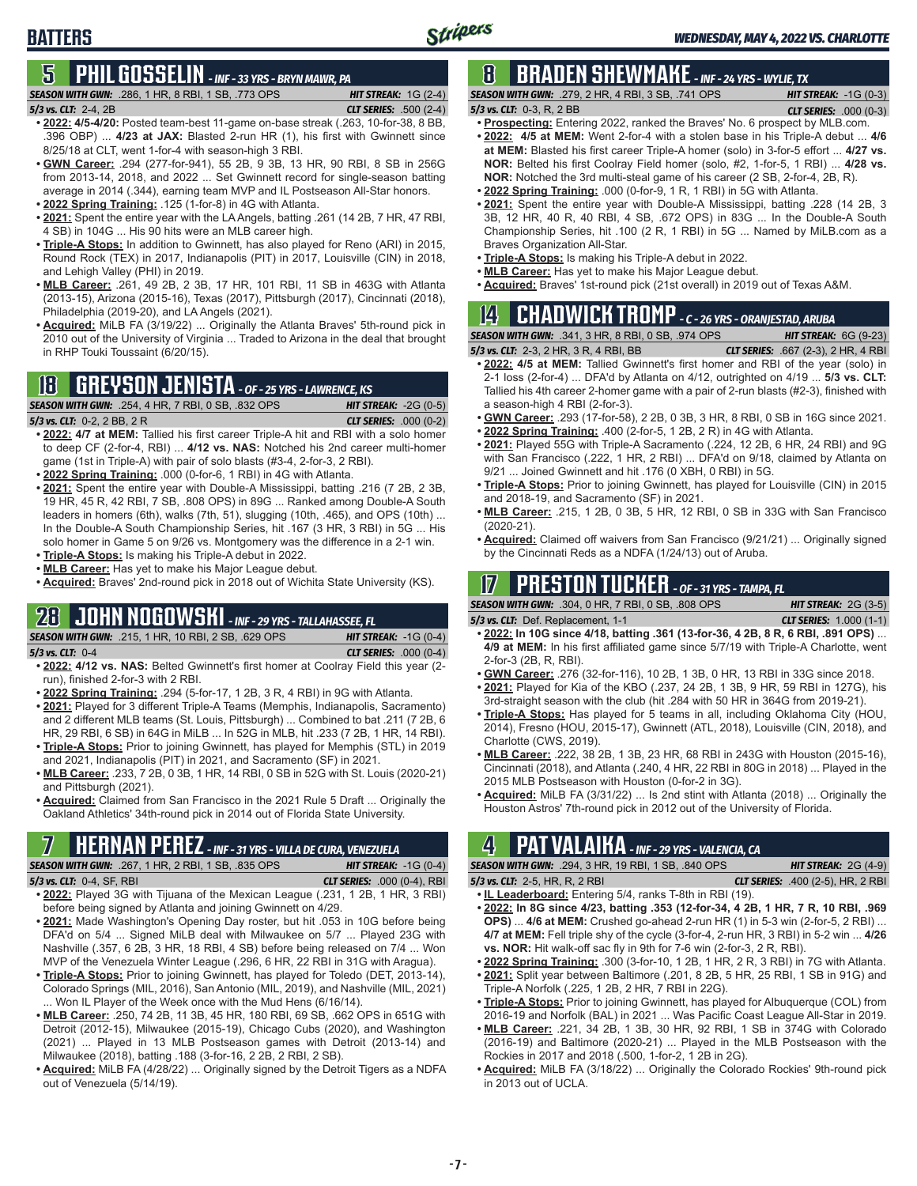# **5 PHIL GOSSELIN** *- INF - 33 YRS - BRYN MAWR, PA*

#### *5/3 vs. CLT:*2-4, 2B *CLT SERIES:* .500 (2-4)

**BATTERS**

- *SEASON WITH GWN:*.286, 1 HR, 8 RBI, 1 SB, .773 OPS *HIT STREAK:* 1G (2-4)
	-
- **• 2022: 4/5-4/20:** Posted team-best 11-game on-base streak (.263, 10-for-38, 8 BB, .396 OBP) ... **4/23 at JAX:** Blasted 2-run HR (1), his first with Gwinnett since 8/25/18 at CLT, went 1-for-4 with season-high 3 RBI.
- **• GWN Career:** .294 (277-for-941), 55 2B, 9 3B, 13 HR, 90 RBI, 8 SB in 256G from 2013-14, 2018, and 2022 ... Set Gwinnett record for single-season batting average in 2014 (.344), earning team MVP and IL Postseason All-Star honors.
- **• 2022 Spring Training:** .125 (1-for-8) in 4G with Atlanta.
- **• 2021:** Spent the entire year with the LA Angels, batting .261 (14 2B, 7 HR, 47 RBI, 4 SB) in 104G ... His 90 hits were an MLB career high.
- **• Triple-A Stops:** In addition to Gwinnett, has also played for Reno (ARI) in 2015, Round Rock (TEX) in 2017, Indianapolis (PIT) in 2017, Louisville (CIN) in 2018, and Lehigh Valley (PHI) in 2019.
- **• MLB Career:** .261, 49 2B, 2 3B, 17 HR, 101 RBI, 11 SB in 463G with Atlanta (2013-15), Arizona (2015-16), Texas (2017), Pittsburgh (2017), Cincinnati (2018), Philadelphia (2019-20), and LA Angels (2021).
- **• Acquired:** MiLB FA (3/19/22) ... Originally the Atlanta Braves' 5th-round pick in 2010 out of the University of Virginia ... Traded to Arizona in the deal that brought in RHP Touki Toussaint (6/20/15).

# **18 GREYSON JENISTA** *- OF - 25 YRS - LAWRENCE, KS*

*SEASON WITH GWN:*.254, 4 HR, 7 RBI, 0 SB, .832 OPS *HIT STREAK:* -2G (0-5) *5/3 vs. CLT:*0-2, 2 BB, 2 R *CLT SERIES:* .000 (0-2)

- **• 2022: 4/7 at MEM:** Tallied his first career Triple-A hit and RBI with a solo homer to deep CF (2-for-4, RBI) ... **4/12 vs. NAS:** Notched his 2nd career multi-homer game (1st in Triple-A) with pair of solo blasts (#3-4, 2-for-3, 2 RBI).
- **• 2022 Spring Training:** .000 (0-for-6, 1 RBI) in 4G with Atlanta.
- **• 2021:** Spent the entire year with Double-A Mississippi, batting .216 (7 2B, 2 3B, 19 HR, 45 R, 42 RBI, 7 SB, .808 OPS) in 89G ... Ranked among Double-A South leaders in homers (6th), walks (7th, 51), slugging (10th, .465), and OPS (10th) ... In the Double-A South Championship Series, hit .167 (3 HR, 3 RBI) in 5G ... His solo homer in Game 5 on 9/26 vs. Montgomery was the difference in a 2-1 win.
- **• Triple-A Stops:** Is making his Triple-A debut in 2022.
- **• MLB Career:** Has yet to make his Major League debut.
- **• Acquired:** Braves' 2nd-round pick in 2018 out of Wichita State University (KS).

### **28 JOHN NOGOWSKI** *- INF - 29 YRS - TALLAHASSEE, FL SEASON WITH GWN:*.215, 1 HR, 10 RBI, 2 SB, .629 OPS *HIT STREAK:* -1G (0-4)

| ------------- |  |  |
|---------------|--|--|
|               |  |  |

- *5/3 vs. CLT:*0-4 *CLT SERIES:* .000 (0-4) **• 2022: 4/12 vs. NAS:** Belted Gwinnett's first homer at Coolray Field this year (2 run), finished 2-for-3 with 2 RBI.
- **• 2022 Spring Training:** .294 (5-for-17, 1 2B, 3 R, 4 RBI) in 9G with Atlanta.
- **• 2021:** Played for 3 different Triple-A Teams (Memphis, Indianapolis, Sacramento) and 2 different MLB teams (St. Louis, Pittsburgh) ... Combined to bat .211 (7 2B, 6 HR, 29 RBI, 6 SB) in 64G in MiLB ... In 52G in MLB, hit .233 (7 2B, 1 HR, 14 RBI).
- **• Triple-A Stops:** Prior to joining Gwinnett, has played for Memphis (STL) in 2019 and 2021, Indianapolis (PIT) in 2021, and Sacramento (SF) in 2021.
- **• MLB Career:** .233, 7 2B, 0 3B, 1 HR, 14 RBI, 0 SB in 52G with St. Louis (2020-21) and Pittsburgh (2021).
- **• Acquired:** Claimed from San Francisco in the 2021 Rule 5 Draft ... Originally the Oakland Athletics' 34th-round pick in 2014 out of Florida State University.

# **7 HERNAN PEREZ** *- INF - 31 YRS - VILLA DE CURA, VENEZUELA*

*SEASON WITH GWN:*.267, 1 HR, 2 RBI, 1 SB, .835 OPS *HIT STREAK:* -1G (0-4)

- *5/3 vs. CLT:*0-4, SF, RBI *CLT SERIES:* .000 (0-4), RBI
- **• 2022:** Played 3G with Tijuana of the Mexican League (.231, 1 2B, 1 HR, 3 RBI) before being signed by Atlanta and joining Gwinnett on 4/29.
- **• 2021:** Made Washington's Opening Day roster, but hit .053 in 10G before being DFA'd on 5/4 ... Signed MiLB deal with Milwaukee on 5/7 ... Played 23G with Nashville (.357, 6 2B, 3 HR, 18 RBI, 4 SB) before being released on 7/4 ... Won MVP of the Venezuela Winter League (.296, 6 HR, 22 RBI in 31G with Aragua).
- **• Triple-A Stops:** Prior to joining Gwinnett, has played for Toledo (DET, 2013-14), Colorado Springs (MIL, 2016), San Antonio (MIL, 2019), and Nashville (MIL, 2021) Won IL Player of the Week once with the Mud Hens (6/16/14).
- **• MLB Career:** .250, 74 2B, 11 3B, 45 HR, 180 RBI, 69 SB, .662 OPS in 651G with Detroit (2012-15), Milwaukee (2015-19), Chicago Cubs (2020), and Washington (2021) ... Played in 13 MLB Postseason games with Detroit (2013-14) and Milwaukee (2018), batting .188 (3-for-16, 2 2B, 2 RBI, 2 SB).
- **• Acquired:** MiLB FA (4/28/22) ... Originally signed by the Detroit Tigers as a NDFA out of Venezuela (5/14/19).

# **8 BRADEN SHEWMAKE** *- INF - 24 YRS - WYLIE, TX*

*SEASON WITH GWN:*.279, 2 HR, 4 RBI, 3 SB, .741 OPS *HIT STREAK:* -1G (0-3) *5/3 vs. CLT:*0-3, R, 2 BB *CLT SERIES:* .000 (0-3)

- **• Prospecting:** Entering 2022, ranked the Braves' No. 6 prospect by MLB.com. **• 2022: 4/5 at MEM:** Went 2-for-4 with a stolen base in his Triple-A debut ... **4/6 at MEM:** Blasted his first career Triple-A homer (solo) in 3-for-5 effort ... **4/27 vs. NOR:** Belted his first Coolray Field homer (solo, #2, 1-for-5, 1 RBI) ... **4/28 vs. NOR:** Notched the 3rd multi-steal game of his career (2 SB, 2-for-4, 2B, R).
- **• 2022 Spring Training:** .000 (0-for-9, 1 R, 1 RBI) in 5G with Atlanta.
- **• 2021:** Spent the entire year with Double-A Mississippi, batting .228 (14 2B, 3 3B, 12 HR, 40 R, 40 RBI, 4 SB, .672 OPS) in 83G ... In the Double-A South Championship Series, hit .100 (2 R, 1 RBI) in 5G ... Named by MiLB.com as a Braves Organization All-Star.
- **• Triple-A Stops:** Is making his Triple-A debut in 2022.
- **• MLB Career:** Has yet to make his Major League debut.
- **• Acquired:** Braves' 1st-round pick (21st overall) in 2019 out of Texas A&M.

# **14 CHADWICK TROMP** *- C - 26 YRS - ORANJESTAD, ARUBA*

*SEASON WITH GWN:*.341, 3 HR, 8 RBI, 0 SB, .974 OPS *HIT STREAK:* 6G (9-23)

- *5/3 vs. CLT:*2-3, 2 HR, 3 R, 4 RBI, BB *CLT SERIES:* .667 (2-3), 2 HR, 4 RBI **• 2022: 4/5 at MEM:** Tallied Gwinnett's first homer and RBI of the year (solo) in 2-1 loss (2-for-4) ... DFA'd by Atlanta on 4/12, outrighted on 4/19 ... **5/3 vs. CLT:** Tallied his 4th career 2-homer game with a pair of 2-run blasts (#2-3), finished with a season-high 4 RBI (2-for-3).
- **• GWN Career:** .293 (17-for-58), 2 2B, 0 3B, 3 HR, 8 RBI, 0 SB in 16G since 2021. **• 2022 Spring Training:** .400 (2-for-5, 1 2B, 2 R) in 4G with Atlanta.
- **• 2021:** Played 55G with Triple-A Sacramento (.224, 12 2B, 6 HR, 24 RBI) and 9G with San Francisco (.222, 1 HR, 2 RBI) ... DFA'd on 9/18, claimed by Atlanta on 9/21 ... Joined Gwinnett and hit .176 (0 XBH, 0 RBI) in 5G.
- **• Triple-A Stops:** Prior to joining Gwinnett, has played for Louisville (CIN) in 2015 and 2018-19, and Sacramento (SF) in 2021.
- **• MLB Career:** .215, 1 2B, 0 3B, 5 HR, 12 RBI, 0 SB in 33G with San Francisco (2020-21).
- **• Acquired:** Claimed off waivers from San Francisco (9/21/21) ... Originally signed by the Cincinnati Reds as a NDFA (1/24/13) out of Aruba.

# **17 PRESTON TUCKER** *- OF - 31 YRS - TAMPA, FL*

| <b>SEASON WITH GWN:</b> .304, 0 HR, 7 RBI, 0 SB, .808 OPS | <b>HIT STREAK:</b> $2G(3-5)$   |
|-----------------------------------------------------------|--------------------------------|
| $5/3$ vs. CLT: Def. Replacement, 1-1                      | <b>CLT SERIES:</b> 1.000 (1-1) |

- **• 2022: In 10G since 4/18, batting .361 (13-for-36, 4 2B, 8 R, 6 RBI, .891 OPS)** ... **4/9 at MEM:** In his first affiliated game since 5/7/19 with Triple-A Charlotte, went 2-for-3 (2B, R, RBI).
- **• GWN Career:** .276 (32-for-116), 10 2B, 1 3B, 0 HR, 13 RBI in 33G since 2018.
- **• 2021:** Played for Kia of the KBO (.237, 24 2B, 1 3B, 9 HR, 59 RBI in 127G), his 3rd-straight season with the club (hit .284 with 50 HR in 364G from 2019-21).
- **• Triple-A Stops:** Has played for 5 teams in all, including Oklahoma City (HOU, 2014), Fresno (HOU, 2015-17), Gwinnett (ATL, 2018), Louisville (CIN, 2018), and Charlotte (CWS, 2019).
- **• MLB Career:** .222, 38 2B, 1 3B, 23 HR, 68 RBI in 243G with Houston (2015-16), Cincinnati (2018), and Atlanta (.240, 4 HR, 22 RBI in 80G in 2018) ... Played in the 2015 MLB Postseason with Houston (0-for-2 in 3G).
- **• Acquired:** MiLB FA (3/31/22) ... Is 2nd stint with Atlanta (2018) ... Originally the Houston Astros' 7th-round pick in 2012 out of the University of Florida.

# **4 PAT VALAIKA** *- INF - 29 YRS - VALENCIA, CA*

*SEASON WITH GWN:*.294, 3 HR, 19 RBI, 1 SB, .840 OPS *HIT STREAK:* 2G (4-9)

- *5/3 vs. CLT:*2-5, HR, R, 2 RBI *CLT SERIES:* .400 (2-5), HR, 2 RBI
- **• IL Leaderboard:** Entering 5/4, ranks T-8th in RBI (19).
- **• 2022: In 8G since 4/23, batting .353 (12-for-34, 4 2B, 1 HR, 7 R, 10 RBI, .969 OPS)** ... **4/6 at MEM:** Crushed go-ahead 2-run HR (1) in 5-3 win (2-for-5, 2 RBI) ... **4/7 at MEM:** Fell triple shy of the cycle (3-for-4, 2-run HR, 3 RBI) in 5-2 win ... **4/26 vs. NOR:** Hit walk-off sac fly in 9th for 7-6 win (2-for-3, 2 R, RBI).
- **• 2022 Spring Training:** .300 (3-for-10, 1 2B, 1 HR, 2 R, 3 RBI) in 7G with Atlanta.
- **• 2021:** Split year between Baltimore (.201, 8 2B, 5 HR, 25 RBI, 1 SB in 91G) and Triple-A Norfolk (.225, 1 2B, 2 HR, 7 RBI in 22G).
- **• Triple-A Stops:** Prior to joining Gwinnett, has played for Albuquerque (COL) from 2016-19 and Norfolk (BAL) in 2021 ... Was Pacific Coast League All-Star in 2019.
- **• MLB Career:** .221, 34 2B, 1 3B, 30 HR, 92 RBI, 1 SB in 374G with Colorado (2016-19) and Baltimore (2020-21) ... Played in the MLB Postseason with the Rockies in 2017 and 2018 (.500, 1-for-2, 1 2B in 2G).
- **• Acquired:** MiLB FA (3/18/22) ... Originally the Colorado Rockies' 9th-round pick in 2013 out of UCLA.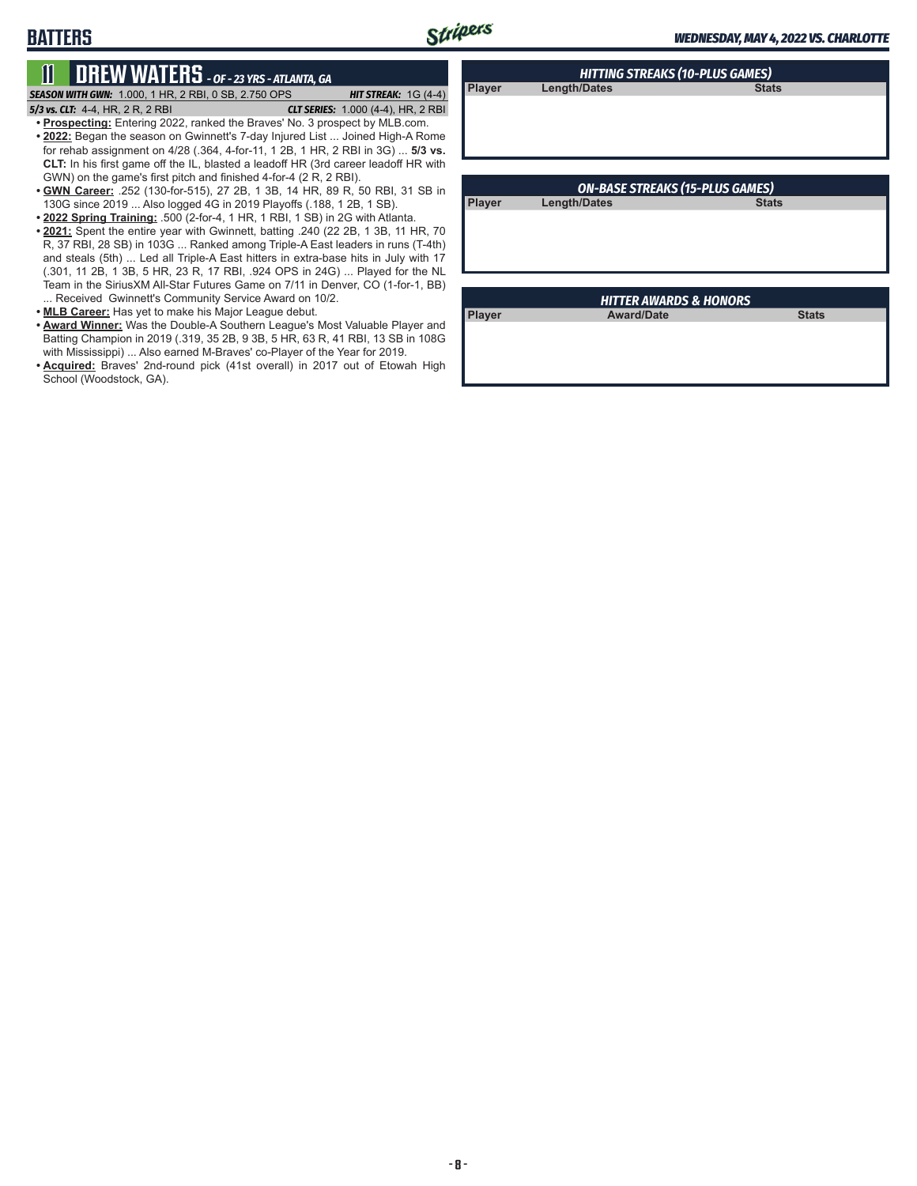# **11 DREW WATERS** *- OF - 23 YRS - ATLANTA, GA*

*SEASON WITH GWN:*1.000, 1 HR, 2 RBI, 0 SB, 2.750 OPS *HIT STREAK:* 1G (4-4)

**BATTERS**

*5/3 vs. CLT:*4-4, HR, 2 R, 2 RBI *CLT SERIES:* 1.000 (4-4), HR, 2 RBI **• Prospecting:** Entering 2022, ranked the Braves' No. 3 prospect by MLB.com.

- **• 2022:** Began the season on Gwinnett's 7-day Injured List ... Joined High-A Rome for rehab assignment on 4/28 (.364, 4-for-11, 1 2B, 1 HR, 2 RBI in 3G) ... **5/3 vs. CLT:** In his first game off the IL, blasted a leadoff HR (3rd career leadoff HR with GWN) on the game's first pitch and finished 4-for-4 (2 R, 2 RBI).
- **• GWN Career:** .252 (130-for-515), 27 2B, 1 3B, 14 HR, 89 R, 50 RBI, 31 SB in 130G since 2019 ... Also logged 4G in 2019 Playoffs (.188, 1 2B, 1 SB).
- **• 2022 Spring Training:** .500 (2-for-4, 1 HR, 1 RBI, 1 SB) in 2G with Atlanta.
- **• 2021:** Spent the entire year with Gwinnett, batting .240 (22 2B, 1 3B, 11 HR, 70 R, 37 RBI, 28 SB) in 103G ... Ranked among Triple-A East leaders in runs (T-4th) and steals (5th) ... Led all Triple-A East hitters in extra-base hits in July with 17 (.301, 11 2B, 1 3B, 5 HR, 23 R, 17 RBI, .924 OPS in 24G) ... Played for the NL Team in the SiriusXM All-Star Futures Game on 7/11 in Denver, CO (1-for-1, BB) ... Received Gwinnett's Community Service Award on 10/2.
- **• MLB Career:** Has yet to make his Major League debut.
- **• Award Winner:** Was the Double-A Southern League's Most Valuable Player and Batting Champion in 2019 (.319, 35 2B, 9 3B, 5 HR, 63 R, 41 RBI, 13 SB in 108G with Mississippi) ... Also earned M-Braves' co-Player of the Year for 2019.
- **• Acquired:** Braves' 2nd-round pick (41st overall) in 2017 out of Etowah High School (Woodstock, GA).

| <b>HITTING STREAKS (10-PLUS GAMES)</b> |              |              |  |
|----------------------------------------|--------------|--------------|--|
| Player                                 | Length/Dates | <b>Stats</b> |  |
|                                        |              |              |  |
|                                        |              |              |  |
|                                        |              |              |  |
|                                        |              |              |  |

**Player Length/Dates Stats** 

*ON-BASE STREAKS (15-PLUS GAMES)*

| <b>HITTER AWARDS &amp; HONORS</b> |                   |              |  |  |
|-----------------------------------|-------------------|--------------|--|--|
| Player                            | <b>Award/Date</b> | <b>Stats</b> |  |  |
|                                   |                   |              |  |  |
|                                   |                   |              |  |  |
|                                   |                   |              |  |  |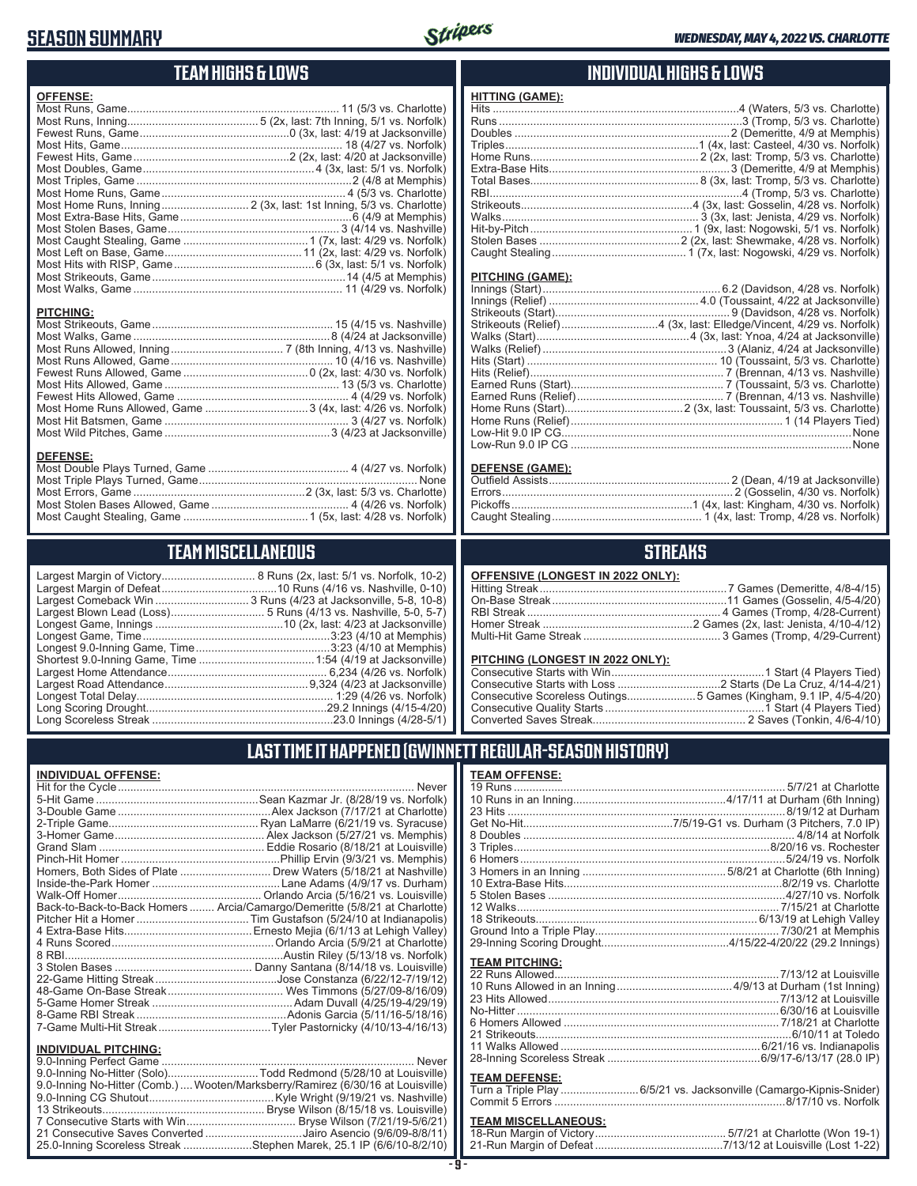# **SEASON SUMMARY**



#### **TEAM HIGHS & LOWS OFFENSE:** Most Runs, Game.................................................................... 11 (5/3 vs. Charlotte) Most Runs, Inning.......................................... 5 (2x, last: 7th Inning, 5/1 vs. Norfolk) Fewest Runs, Game................................................0 (3x, last: 4/19 at Jacksonville) Most Hits, Game ....................................................................... 18 (4/27 vs. Norfolk) Fewest Hits, Game..................................................2 (2x, last: 4/20 at Jacksonville) Most Doubles, Game .......................................................4 (3x, last: 5/1 vs. Norfolk) Most Triples, Game .....................................................................2 (4/8 at Memphis) Most Home Runs, Game ........................................................... 4 (5/3 vs. Charlotte) Most Home Runs, Inning............................ 2 (3x, last: 1st Inning, 5/3 vs. Charlotte) Most Extra-Base Hits, Game .......................................................6 (4/9 at Memphis) Most Stolen Bases, Game ....................................................... 3 (4/14 vs. Nashville) Most Caught Stealing, Game ........................................1 (7x, last: 4/29 vs. Norfolk) Most Left on Base, Game ............................................11 (2x, last: 4/29 vs. Norfolk) Most Hits with RISP, Game .............................................6 (3x, last: 5/1 vs. Norfolk) Most Strikeouts, Game ..............................................................14 (4/5 at Memphis) Most Walks, Game ................................................................... 11 (4/29 vs. Norfolk) **PITCHING:** Most Strikeouts, Game .......................................................... 15 (4/15 vs. Nashville) Most Walks, Game ...............................................................8 (4/24 at Jacksonville) Most Runs Allowed, Inning .................................... 7 (8th Inning, 4/13 vs. Nashville) Most Runs Allowed, Game .................................................... 10 (4/16 vs. Nashville) Fewest Runs Allowed, Game ........................................0 (2x, last: 4/30 vs. Norfolk) Most Hits Allowed, Game ........................................................ 13 (5/3 vs. Charlotte) Fewest Hits Allowed, Game ....................................................... 4 (4/29 vs. Norfolk) Most Home Runs Allowed, Game .................................3 (4x, last: 4/26 vs. Norfolk) Most Hit Batsmen, Game ........................................................... 3 (4/27 vs. Norfolk) Most Wild Pitches, Game .....................................................3 (4/23 at Jacksonville) **DEFENSE:** Most Double Plays Turned, Game ............................................. 4 (4/27 vs. Norfolk) Most Triple Plays Turned, Game ...................................................................... None Most Errors, Game .......................................................2 (3x, last: 5/3 vs. Charlotte) Most Stolen Bases Allowed, Game ............................................ 4 (4/26 vs. Norfolk) Most Caught Stealing, Game ........................................1 (5x, last: 4/28 vs. Norfolk) **HITTING (GAME): TEAM MISCELLANEOUS** Largest Margin of Victory.............................. 8 Runs (2x, last: 5/1 vs. Norfolk, 10-2) Largest Margin of Defeat.....................................10 Runs (4/16 vs. Nashville, 0-10) Largest Comeback Win .............................. 3 Runs (4/23 at Jacksonville, 5-8, 10-8)

Largest Blown Lead (Loss).............................. 5 Runs (4/13 vs. Nashville, 5-0, 5-7) Longest Game, Innings .........................................10 (2x, last: 4/23 at Jacksonville) Longest Game, Time ............................................................3:23 (4/10 at Memphis) Longest 9.0-Inning Game, Time ...........................................3:23 (4/10 at Memphis) Shortest 9.0-Inning Game, Time .....................................1:54 (4/19 at Jacksonville) Largest Home Attendance ................................................... 6,234 (4/26 vs. Norfolk) Largest Road Attendance ..............................................9,324 (4/23 at Jacksonville) Longest Total Delay............................................................... 1:29 (4/26 vs. Norfolk) Long Scoring Drought..........................................................29.2 Innings (4/15-4/20) Long Scoreless Streak ..........................................................23.0 Innings (4/28-5/1)

### **INDIVIDUAL HIGHS & LOWS**

#### Hits ...............................................................................4 (Waters, 5/3 vs. Charlotte) Runs ..............................................................................3 (Tromp, 5/3 vs. Charlotte) Doubles .....................................................................2 (Demeritte, 4/9 at Memphis) Triples..............................................................1 (4x, last: Casteel, 4/30 vs. Norfolk) Home Runs...................................................... 2 (2x, last: Tromp, 5/3 vs. Charlotte) Extra-Base Hits..........................................................3 (Demeritte, 4/9 at Memphis) Total Bases...................................................... 8 (3x, last: Tromp, 5/3 vs. Charlotte) RBI.................................................................................4 (Tromp, 5/3 vs. Charlotte) Strikeouts.......................................................4 (3x, last: Gosselin, 4/28 vs. Norfolk) Walks............................................................... 3 (3x, last: Jenista, 4/29 vs. Norfolk) Hit-by-Pitch.................................................... 1 (9x, last: Nogowski, 5/1 vs. Norfolk) Stolen Bases .............................................2 (2x, last: Shewmake, 4/28 vs. Norfolk) Caught Stealing........................................... 1 (7x, last: Nogowski, 4/29 vs. Norfolk)

### **PITCHING (GAME):**

| None |
|------|
|      |

#### **DEFENSE (GAME):**

### **STREAKS**

| OFFENSIVE (LONGEST IN 2022 ONLY): |  |
|-----------------------------------|--|
|                                   |  |
|                                   |  |
|                                   |  |
|                                   |  |
|                                   |  |

#### **PITCHING (LONGEST IN 2022 ONLY):**

| Consecutive Scoreless Outings5 Games (Kingham, 9.1 IP, 4/5-4/20) |  |
|------------------------------------------------------------------|--|
|                                                                  |  |
|                                                                  |  |
|                                                                  |  |

# **LAST TIME IT HAPPENED (GWINNETT REGULAR-SEASON HISTORY)**

### **TEAM OFFENSE:**

| <u>ILAM VI I LIVUL.</u> |                                                                    |
|-------------------------|--------------------------------------------------------------------|
|                         |                                                                    |
|                         |                                                                    |
| <b>TEAM PITCHING:</b>   |                                                                    |
| <b>TEAM DEFENSE:</b>    | Turn a Triple Play 6/5/21 vs. Jacksonville (Camargo-Kipnis-Snider) |

### **TEAM MISCELLANEOUS:**

| 21-Run Margin of Defeat…………………………………7/13/12 at Louisville (Lost 1-22) |  |
|-----------------------------------------------------------------------|--|

| Homers, Both Sides of Plate  Drew Waters (5/18/21 at Nashville) |
|-----------------------------------------------------------------|
|                                                                 |
|                                                                 |
|                                                                 |

**INDIVIDUAL OFFENSE:**

Back-to-Back-to-Back Homers ........ Arcia/Camargo/Demeritte (5/8/21 at Charlotte) Pitcher Hit a Homer ....................................Tim Gustafson (5/24/10 at Indianapolis) 4 Extra-Base Hits.........................................Ernesto Mejia (6/1/13 at Lehigh Valley) 4 Runs Scored....................................................Orlando Arcia (5/9/21 at Charlotte) 8 RBI......................................................................Austin Riley (5/13/18 vs. Norfolk) 3 Stolen Bases ............................................ Danny Santana (8/14/18 vs. Louisville) 22-Game Hitting Streak.......................................Jose Constanza (6/22/12-7/19/12) 48-Game On-Base Streak ..................................... Wes Timmons (5/27/09-8/16/09) 5-Game Homer Streak .............................................Adam Duvall (4/25/19-4/29/19) 8-Game RBI Streak ................................................Adonis Garcia (5/11/16-5/18/16) 7-Game Multi-Hit Streak....................................Tyler Pastornicky (4/10/13-4/16/13)

#### **INDIVIDUAL PITCHING:**

| 9.0-Inning No-Hitter (Solo)Todd Redmond (5/28/10 at Louisville)                |
|--------------------------------------------------------------------------------|
| 9.0-Inning No-Hitter (Comb.) Wooten/Marksberry/Ramirez (6/30/16 at Louisville) |
|                                                                                |
|                                                                                |
|                                                                                |
| 21 Consecutive Saves Converted Jairo Asencio (9/6/09-8/8/11)                   |
| 25.0-Inning Scoreless Streak Stephen Marek, 25.1 IP (6/6/10-8/2/10)            |
|                                                                                |